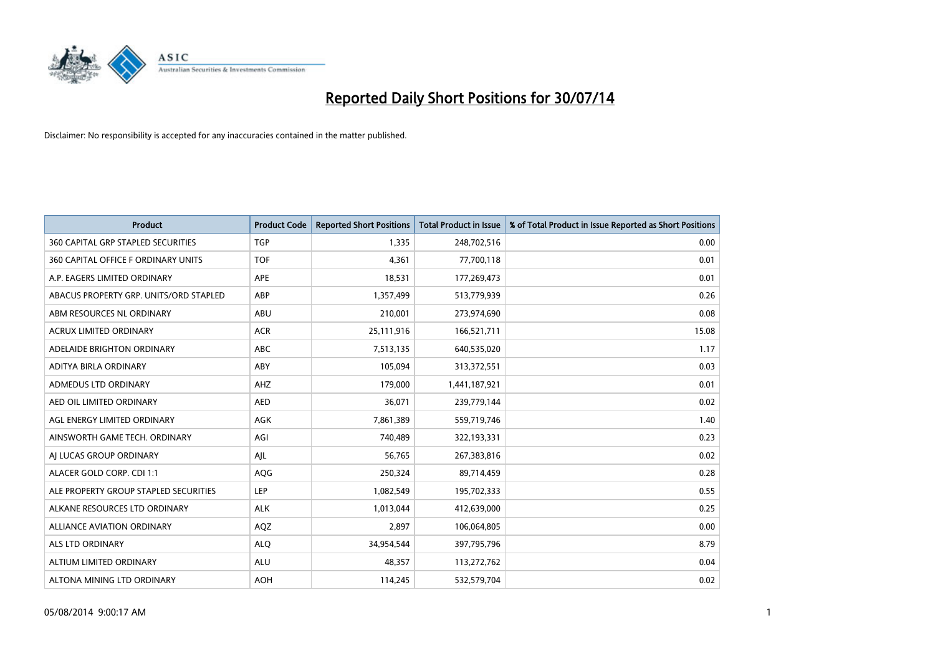

| <b>Product</b>                            | <b>Product Code</b> | <b>Reported Short Positions</b> | <b>Total Product in Issue</b> | % of Total Product in Issue Reported as Short Positions |
|-------------------------------------------|---------------------|---------------------------------|-------------------------------|---------------------------------------------------------|
| <b>360 CAPITAL GRP STAPLED SECURITIES</b> | <b>TGP</b>          | 1,335                           | 248,702,516                   | 0.00                                                    |
| 360 CAPITAL OFFICE F ORDINARY UNITS       | <b>TOF</b>          | 4,361                           | 77,700,118                    | 0.01                                                    |
| A.P. EAGERS LIMITED ORDINARY              | APE                 | 18,531                          | 177,269,473                   | 0.01                                                    |
| ABACUS PROPERTY GRP. UNITS/ORD STAPLED    | ABP                 | 1,357,499                       | 513,779,939                   | 0.26                                                    |
| ABM RESOURCES NL ORDINARY                 | ABU                 | 210,001                         | 273,974,690                   | 0.08                                                    |
| <b>ACRUX LIMITED ORDINARY</b>             | <b>ACR</b>          | 25,111,916                      | 166,521,711                   | 15.08                                                   |
| ADELAIDE BRIGHTON ORDINARY                | <b>ABC</b>          | 7,513,135                       | 640,535,020                   | 1.17                                                    |
| ADITYA BIRLA ORDINARY                     | ABY                 | 105,094                         | 313,372,551                   | 0.03                                                    |
| ADMEDUS LTD ORDINARY                      | AHZ                 | 179,000                         | 1,441,187,921                 | 0.01                                                    |
| AED OIL LIMITED ORDINARY                  | <b>AED</b>          | 36,071                          | 239,779,144                   | 0.02                                                    |
| AGL ENERGY LIMITED ORDINARY               | AGK                 | 7,861,389                       | 559,719,746                   | 1.40                                                    |
| AINSWORTH GAME TECH. ORDINARY             | AGI                 | 740,489                         | 322,193,331                   | 0.23                                                    |
| AI LUCAS GROUP ORDINARY                   | AJL                 | 56,765                          | 267,383,816                   | 0.02                                                    |
| ALACER GOLD CORP. CDI 1:1                 | AQG                 | 250,324                         | 89,714,459                    | 0.28                                                    |
| ALE PROPERTY GROUP STAPLED SECURITIES     | <b>LEP</b>          | 1,082,549                       | 195,702,333                   | 0.55                                                    |
| ALKANE RESOURCES LTD ORDINARY             | <b>ALK</b>          | 1,013,044                       | 412,639,000                   | 0.25                                                    |
| ALLIANCE AVIATION ORDINARY                | AQZ                 | 2,897                           | 106,064,805                   | 0.00                                                    |
| <b>ALS LTD ORDINARY</b>                   | <b>ALQ</b>          | 34,954,544                      | 397,795,796                   | 8.79                                                    |
| ALTIUM LIMITED ORDINARY                   | <b>ALU</b>          | 48,357                          | 113,272,762                   | 0.04                                                    |
| ALTONA MINING LTD ORDINARY                | <b>AOH</b>          | 114,245                         | 532,579,704                   | 0.02                                                    |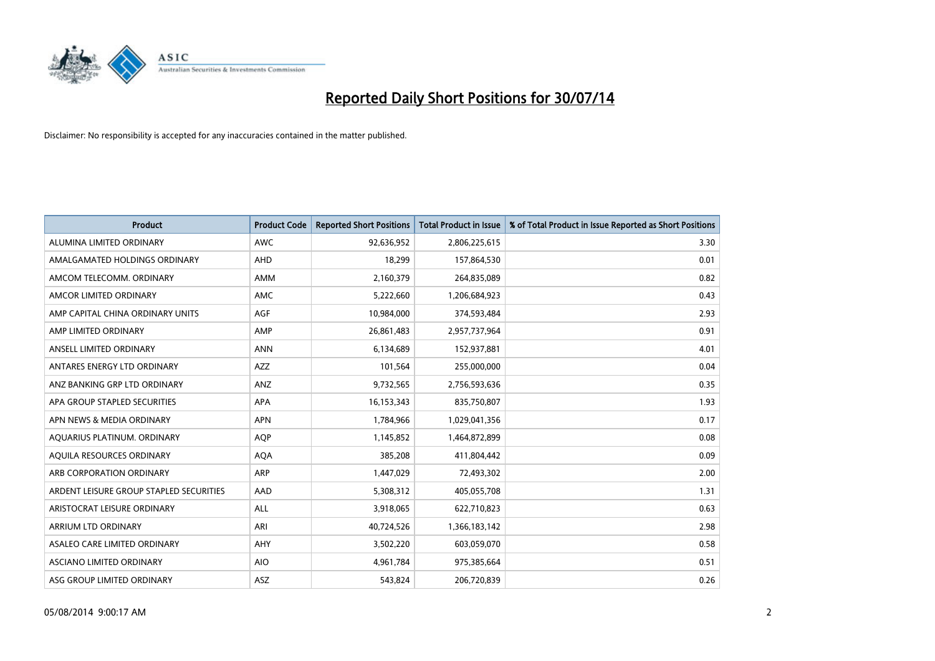

| <b>Product</b>                          | <b>Product Code</b> | <b>Reported Short Positions</b> | <b>Total Product in Issue</b> | % of Total Product in Issue Reported as Short Positions |
|-----------------------------------------|---------------------|---------------------------------|-------------------------------|---------------------------------------------------------|
| ALUMINA LIMITED ORDINARY                | <b>AWC</b>          | 92,636,952                      | 2,806,225,615                 | 3.30                                                    |
| AMALGAMATED HOLDINGS ORDINARY           | <b>AHD</b>          | 18,299                          | 157,864,530                   | 0.01                                                    |
| AMCOM TELECOMM. ORDINARY                | AMM                 | 2,160,379                       | 264,835,089                   | 0.82                                                    |
| AMCOR LIMITED ORDINARY                  | <b>AMC</b>          | 5,222,660                       | 1,206,684,923                 | 0.43                                                    |
| AMP CAPITAL CHINA ORDINARY UNITS        | AGF                 | 10,984,000                      | 374,593,484                   | 2.93                                                    |
| AMP LIMITED ORDINARY                    | AMP                 | 26,861,483                      | 2,957,737,964                 | 0.91                                                    |
| ANSELL LIMITED ORDINARY                 | <b>ANN</b>          | 6,134,689                       | 152,937,881                   | 4.01                                                    |
| ANTARES ENERGY LTD ORDINARY             | AZZ                 | 101,564                         | 255,000,000                   | 0.04                                                    |
| ANZ BANKING GRP LTD ORDINARY            | ANZ                 | 9,732,565                       | 2,756,593,636                 | 0.35                                                    |
| APA GROUP STAPLED SECURITIES            | <b>APA</b>          | 16,153,343                      | 835,750,807                   | 1.93                                                    |
| APN NEWS & MEDIA ORDINARY               | <b>APN</b>          | 1,784,966                       | 1,029,041,356                 | 0.17                                                    |
| AQUARIUS PLATINUM. ORDINARY             | <b>AOP</b>          | 1,145,852                       | 1,464,872,899                 | 0.08                                                    |
| AQUILA RESOURCES ORDINARY               | <b>AQA</b>          | 385,208                         | 411,804,442                   | 0.09                                                    |
| ARB CORPORATION ORDINARY                | <b>ARP</b>          | 1,447,029                       | 72,493,302                    | 2.00                                                    |
| ARDENT LEISURE GROUP STAPLED SECURITIES | AAD                 | 5,308,312                       | 405,055,708                   | 1.31                                                    |
| ARISTOCRAT LEISURE ORDINARY             | ALL                 | 3,918,065                       | 622,710,823                   | 0.63                                                    |
| ARRIUM LTD ORDINARY                     | ARI                 | 40,724,526                      | 1,366,183,142                 | 2.98                                                    |
| ASALEO CARE LIMITED ORDINARY            | AHY                 | 3,502,220                       | 603,059,070                   | 0.58                                                    |
| ASCIANO LIMITED ORDINARY                | <b>AIO</b>          | 4,961,784                       | 975,385,664                   | 0.51                                                    |
| ASG GROUP LIMITED ORDINARY              | ASZ                 | 543,824                         | 206,720,839                   | 0.26                                                    |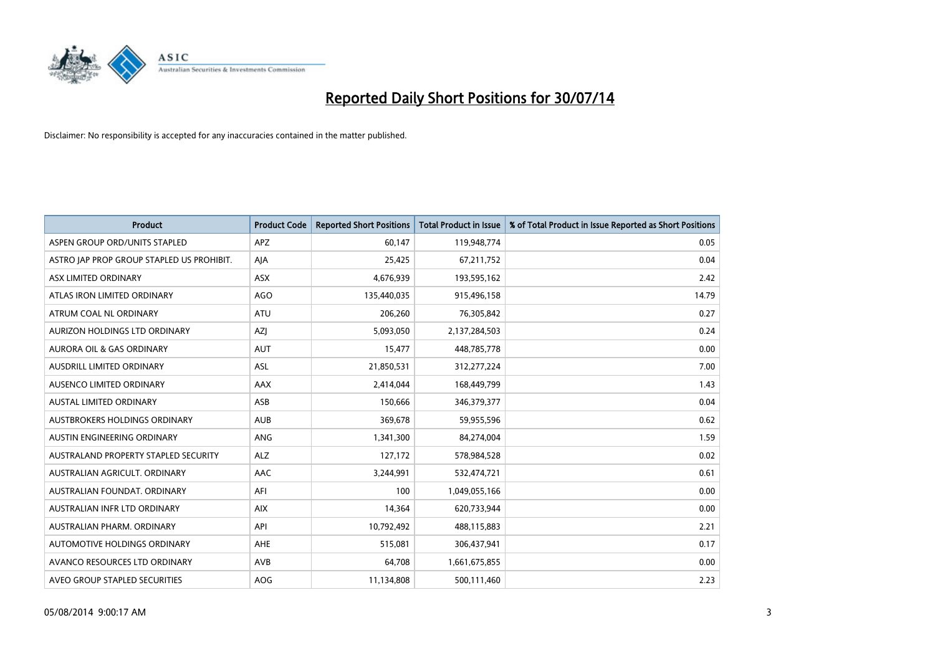

| <b>Product</b>                            | <b>Product Code</b> | <b>Reported Short Positions</b> | <b>Total Product in Issue</b> | % of Total Product in Issue Reported as Short Positions |
|-------------------------------------------|---------------------|---------------------------------|-------------------------------|---------------------------------------------------------|
| ASPEN GROUP ORD/UNITS STAPLED             | <b>APZ</b>          | 60,147                          | 119,948,774                   | 0.05                                                    |
| ASTRO JAP PROP GROUP STAPLED US PROHIBIT. | AJA                 | 25,425                          | 67,211,752                    | 0.04                                                    |
| ASX LIMITED ORDINARY                      | <b>ASX</b>          | 4,676,939                       | 193,595,162                   | 2.42                                                    |
| ATLAS IRON LIMITED ORDINARY               | AGO                 | 135,440,035                     | 915,496,158                   | 14.79                                                   |
| ATRUM COAL NL ORDINARY                    | ATU                 | 206,260                         | 76,305,842                    | 0.27                                                    |
| AURIZON HOLDINGS LTD ORDINARY             | AZJ                 | 5,093,050                       | 2,137,284,503                 | 0.24                                                    |
| <b>AURORA OIL &amp; GAS ORDINARY</b>      | <b>AUT</b>          | 15,477                          | 448,785,778                   | 0.00                                                    |
| AUSDRILL LIMITED ORDINARY                 | <b>ASL</b>          | 21,850,531                      | 312,277,224                   | 7.00                                                    |
| AUSENCO LIMITED ORDINARY                  | AAX                 | 2,414,044                       | 168,449,799                   | 1.43                                                    |
| <b>AUSTAL LIMITED ORDINARY</b>            | ASB                 | 150,666                         | 346,379,377                   | 0.04                                                    |
| AUSTBROKERS HOLDINGS ORDINARY             | <b>AUB</b>          | 369,678                         | 59,955,596                    | 0.62                                                    |
| AUSTIN ENGINEERING ORDINARY               | ANG                 | 1,341,300                       | 84,274,004                    | 1.59                                                    |
| AUSTRALAND PROPERTY STAPLED SECURITY      | <b>ALZ</b>          | 127,172                         | 578,984,528                   | 0.02                                                    |
| AUSTRALIAN AGRICULT, ORDINARY             | AAC                 | 3,244,991                       | 532,474,721                   | 0.61                                                    |
| AUSTRALIAN FOUNDAT, ORDINARY              | AFI                 | 100                             | 1,049,055,166                 | 0.00                                                    |
| AUSTRALIAN INFR LTD ORDINARY              | <b>AIX</b>          | 14,364                          | 620,733,944                   | 0.00                                                    |
| AUSTRALIAN PHARM. ORDINARY                | API                 | 10,792,492                      | 488,115,883                   | 2.21                                                    |
| AUTOMOTIVE HOLDINGS ORDINARY              | AHE                 | 515,081                         | 306,437,941                   | 0.17                                                    |
| AVANCO RESOURCES LTD ORDINARY             | AVB                 | 64,708                          | 1,661,675,855                 | 0.00                                                    |
| AVEO GROUP STAPLED SECURITIES             | AOG                 | 11,134,808                      | 500,111,460                   | 2.23                                                    |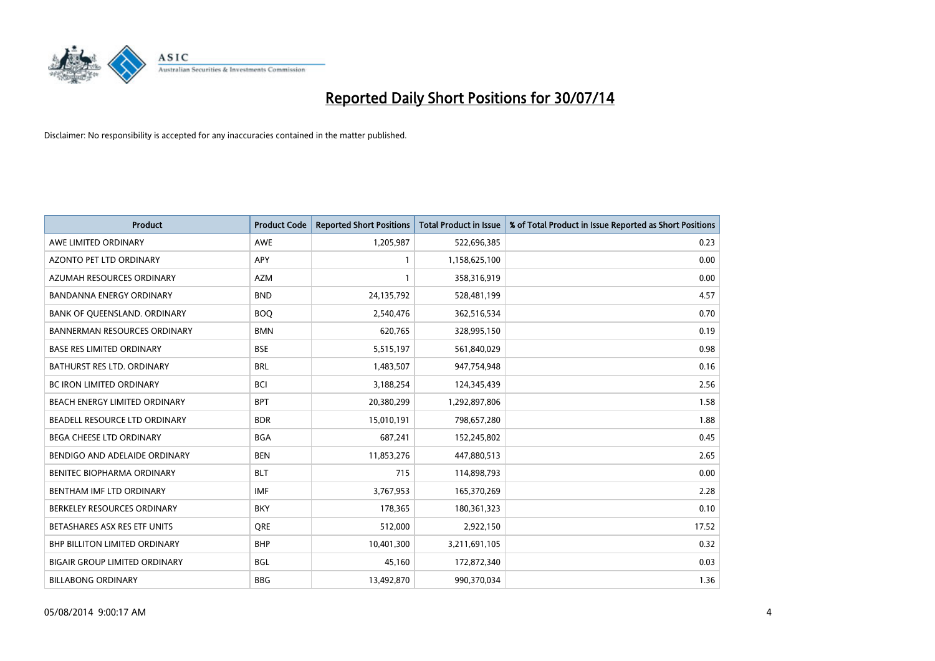

| <b>Product</b>                       | <b>Product Code</b> | <b>Reported Short Positions</b> | <b>Total Product in Issue</b> | % of Total Product in Issue Reported as Short Positions |
|--------------------------------------|---------------------|---------------------------------|-------------------------------|---------------------------------------------------------|
| AWE LIMITED ORDINARY                 | <b>AWE</b>          | 1,205,987                       | 522,696,385                   | 0.23                                                    |
| AZONTO PET LTD ORDINARY              | APY                 | 1                               | 1,158,625,100                 | 0.00                                                    |
| AZUMAH RESOURCES ORDINARY            | <b>AZM</b>          | $\mathbf{1}$                    | 358,316,919                   | 0.00                                                    |
| BANDANNA ENERGY ORDINARY             | <b>BND</b>          | 24,135,792                      | 528,481,199                   | 4.57                                                    |
| BANK OF QUEENSLAND. ORDINARY         | <b>BOQ</b>          | 2,540,476                       | 362,516,534                   | 0.70                                                    |
| <b>BANNERMAN RESOURCES ORDINARY</b>  | <b>BMN</b>          | 620,765                         | 328,995,150                   | 0.19                                                    |
| <b>BASE RES LIMITED ORDINARY</b>     | <b>BSE</b>          | 5,515,197                       | 561,840,029                   | 0.98                                                    |
| BATHURST RES LTD. ORDINARY           | <b>BRL</b>          | 1,483,507                       | 947,754,948                   | 0.16                                                    |
| BC IRON LIMITED ORDINARY             | <b>BCI</b>          | 3,188,254                       | 124,345,439                   | 2.56                                                    |
| BEACH ENERGY LIMITED ORDINARY        | <b>BPT</b>          | 20,380,299                      | 1,292,897,806                 | 1.58                                                    |
| BEADELL RESOURCE LTD ORDINARY        | <b>BDR</b>          | 15,010,191                      | 798,657,280                   | 1.88                                                    |
| BEGA CHEESE LTD ORDINARY             | <b>BGA</b>          | 687,241                         | 152,245,802                   | 0.45                                                    |
| BENDIGO AND ADELAIDE ORDINARY        | <b>BEN</b>          | 11,853,276                      | 447,880,513                   | 2.65                                                    |
| BENITEC BIOPHARMA ORDINARY           | <b>BLT</b>          | 715                             | 114,898,793                   | 0.00                                                    |
| BENTHAM IMF LTD ORDINARY             | <b>IMF</b>          | 3,767,953                       | 165,370,269                   | 2.28                                                    |
| BERKELEY RESOURCES ORDINARY          | <b>BKY</b>          | 178,365                         | 180,361,323                   | 0.10                                                    |
| BETASHARES ASX RES ETF UNITS         | <b>ORE</b>          | 512,000                         | 2,922,150                     | 17.52                                                   |
| <b>BHP BILLITON LIMITED ORDINARY</b> | <b>BHP</b>          | 10,401,300                      | 3,211,691,105                 | 0.32                                                    |
| <b>BIGAIR GROUP LIMITED ORDINARY</b> | <b>BGL</b>          | 45,160                          | 172,872,340                   | 0.03                                                    |
| <b>BILLABONG ORDINARY</b>            | <b>BBG</b>          | 13,492,870                      | 990,370,034                   | 1.36                                                    |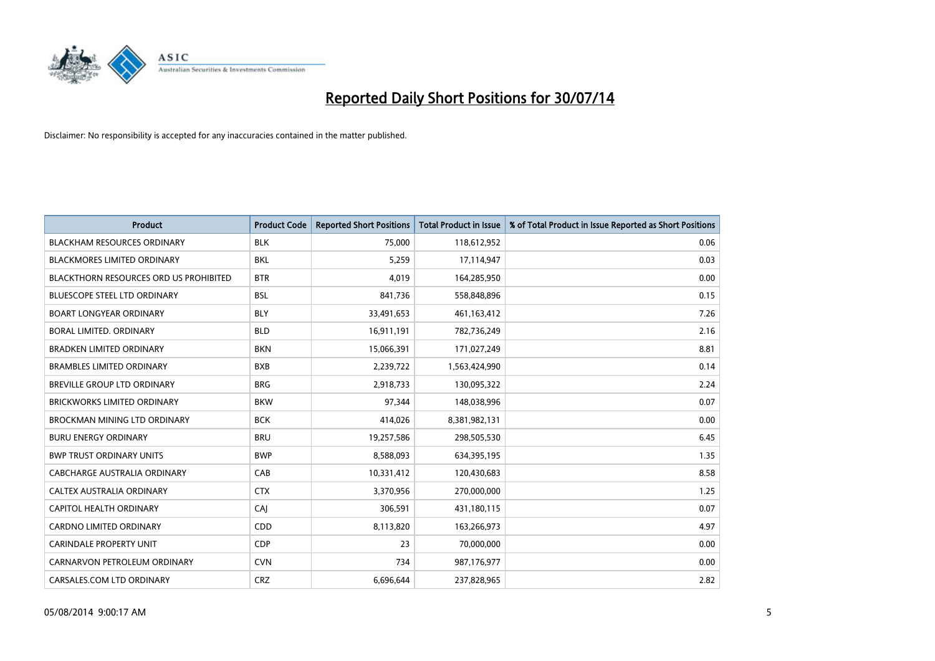

| <b>Product</b>                                | <b>Product Code</b> | <b>Reported Short Positions</b> | <b>Total Product in Issue</b> | % of Total Product in Issue Reported as Short Positions |
|-----------------------------------------------|---------------------|---------------------------------|-------------------------------|---------------------------------------------------------|
| <b>BLACKHAM RESOURCES ORDINARY</b>            | <b>BLK</b>          | 75,000                          | 118,612,952                   | 0.06                                                    |
| <b>BLACKMORES LIMITED ORDINARY</b>            | BKL                 | 5,259                           | 17,114,947                    | 0.03                                                    |
| <b>BLACKTHORN RESOURCES ORD US PROHIBITED</b> | <b>BTR</b>          | 4.019                           | 164,285,950                   | 0.00                                                    |
| BLUESCOPE STEEL LTD ORDINARY                  | <b>BSL</b>          | 841,736                         | 558,848,896                   | 0.15                                                    |
| <b>BOART LONGYEAR ORDINARY</b>                | <b>BLY</b>          | 33,491,653                      | 461,163,412                   | 7.26                                                    |
| <b>BORAL LIMITED, ORDINARY</b>                | <b>BLD</b>          | 16,911,191                      | 782,736,249                   | 2.16                                                    |
| <b>BRADKEN LIMITED ORDINARY</b>               | <b>BKN</b>          | 15,066,391                      | 171,027,249                   | 8.81                                                    |
| <b>BRAMBLES LIMITED ORDINARY</b>              | <b>BXB</b>          | 2,239,722                       | 1,563,424,990                 | 0.14                                                    |
| <b>BREVILLE GROUP LTD ORDINARY</b>            | <b>BRG</b>          | 2,918,733                       | 130,095,322                   | 2.24                                                    |
| <b>BRICKWORKS LIMITED ORDINARY</b>            | <b>BKW</b>          | 97,344                          | 148,038,996                   | 0.07                                                    |
| BROCKMAN MINING LTD ORDINARY                  | <b>BCK</b>          | 414,026                         | 8,381,982,131                 | 0.00                                                    |
| <b>BURU ENERGY ORDINARY</b>                   | <b>BRU</b>          | 19,257,586                      | 298,505,530                   | 6.45                                                    |
| <b>BWP TRUST ORDINARY UNITS</b>               | <b>BWP</b>          | 8,588,093                       | 634,395,195                   | 1.35                                                    |
| <b>CABCHARGE AUSTRALIA ORDINARY</b>           | CAB                 | 10,331,412                      | 120,430,683                   | 8.58                                                    |
| CALTEX AUSTRALIA ORDINARY                     | <b>CTX</b>          | 3,370,956                       | 270,000,000                   | 1.25                                                    |
| CAPITOL HEALTH ORDINARY                       | <b>CAJ</b>          | 306,591                         | 431,180,115                   | 0.07                                                    |
| CARDNO LIMITED ORDINARY                       | CDD                 | 8,113,820                       | 163,266,973                   | 4.97                                                    |
| <b>CARINDALE PROPERTY UNIT</b>                | <b>CDP</b>          | 23                              | 70,000,000                    | 0.00                                                    |
| CARNARVON PETROLEUM ORDINARY                  | <b>CVN</b>          | 734                             | 987,176,977                   | 0.00                                                    |
| CARSALES.COM LTD ORDINARY                     | <b>CRZ</b>          | 6,696,644                       | 237,828,965                   | 2.82                                                    |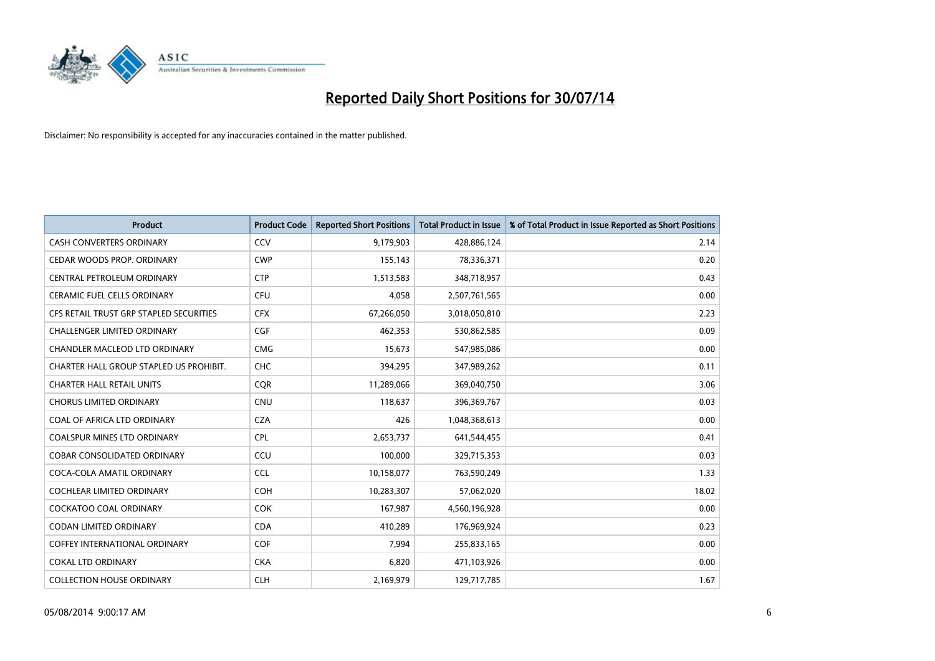

| <b>Product</b>                          | <b>Product Code</b> | <b>Reported Short Positions</b> | <b>Total Product in Issue</b> | % of Total Product in Issue Reported as Short Positions |
|-----------------------------------------|---------------------|---------------------------------|-------------------------------|---------------------------------------------------------|
| <b>CASH CONVERTERS ORDINARY</b>         | CCV                 | 9,179,903                       | 428,886,124                   | 2.14                                                    |
| CEDAR WOODS PROP. ORDINARY              | <b>CWP</b>          | 155,143                         | 78,336,371                    | 0.20                                                    |
| CENTRAL PETROLEUM ORDINARY              | <b>CTP</b>          | 1,513,583                       | 348,718,957                   | 0.43                                                    |
| <b>CERAMIC FUEL CELLS ORDINARY</b>      | <b>CFU</b>          | 4.058                           | 2,507,761,565                 | 0.00                                                    |
| CFS RETAIL TRUST GRP STAPLED SECURITIES | <b>CFX</b>          | 67,266,050                      | 3,018,050,810                 | 2.23                                                    |
| <b>CHALLENGER LIMITED ORDINARY</b>      | <b>CGF</b>          | 462,353                         | 530,862,585                   | 0.09                                                    |
| CHANDLER MACLEOD LTD ORDINARY           | <b>CMG</b>          | 15,673                          | 547,985,086                   | 0.00                                                    |
| CHARTER HALL GROUP STAPLED US PROHIBIT. | <b>CHC</b>          | 394,295                         | 347,989,262                   | 0.11                                                    |
| <b>CHARTER HALL RETAIL UNITS</b>        | <b>COR</b>          | 11,289,066                      | 369,040,750                   | 3.06                                                    |
| <b>CHORUS LIMITED ORDINARY</b>          | <b>CNU</b>          | 118,637                         | 396,369,767                   | 0.03                                                    |
| COAL OF AFRICA LTD ORDINARY             | <b>CZA</b>          | 426                             | 1,048,368,613                 | 0.00                                                    |
| <b>COALSPUR MINES LTD ORDINARY</b>      | <b>CPL</b>          | 2,653,737                       | 641,544,455                   | 0.41                                                    |
| COBAR CONSOLIDATED ORDINARY             | CCU                 | 100,000                         | 329,715,353                   | 0.03                                                    |
| COCA-COLA AMATIL ORDINARY               | <b>CCL</b>          | 10,158,077                      | 763,590,249                   | 1.33                                                    |
| <b>COCHLEAR LIMITED ORDINARY</b>        | <b>COH</b>          | 10,283,307                      | 57,062,020                    | 18.02                                                   |
| <b>COCKATOO COAL ORDINARY</b>           | COK                 | 167,987                         | 4,560,196,928                 | 0.00                                                    |
| <b>CODAN LIMITED ORDINARY</b>           | <b>CDA</b>          | 410,289                         | 176,969,924                   | 0.23                                                    |
| COFFEY INTERNATIONAL ORDINARY           | <b>COF</b>          | 7.994                           | 255,833,165                   | 0.00                                                    |
| <b>COKAL LTD ORDINARY</b>               | <b>CKA</b>          | 6,820                           | 471,103,926                   | 0.00                                                    |
| <b>COLLECTION HOUSE ORDINARY</b>        | <b>CLH</b>          | 2,169,979                       | 129,717,785                   | 1.67                                                    |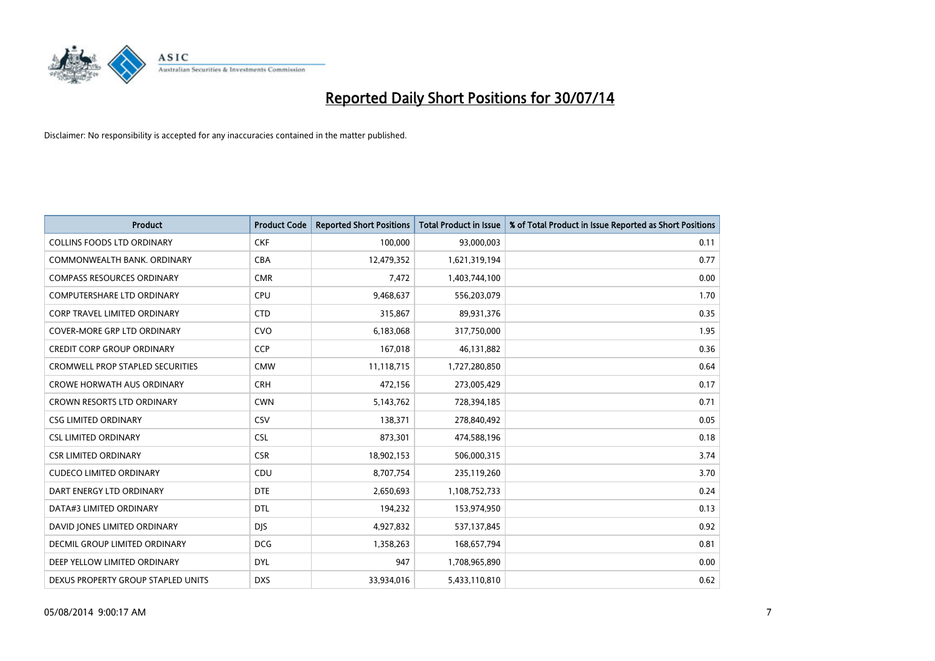

| <b>Product</b>                          | <b>Product Code</b> | <b>Reported Short Positions</b> | <b>Total Product in Issue</b> | % of Total Product in Issue Reported as Short Positions |
|-----------------------------------------|---------------------|---------------------------------|-------------------------------|---------------------------------------------------------|
| <b>COLLINS FOODS LTD ORDINARY</b>       | <b>CKF</b>          | 100,000                         | 93,000,003                    | 0.11                                                    |
| COMMONWEALTH BANK, ORDINARY             | <b>CBA</b>          | 12,479,352                      | 1,621,319,194                 | 0.77                                                    |
| <b>COMPASS RESOURCES ORDINARY</b>       | <b>CMR</b>          | 7,472                           | 1,403,744,100                 | 0.00                                                    |
| <b>COMPUTERSHARE LTD ORDINARY</b>       | <b>CPU</b>          | 9,468,637                       | 556,203,079                   | 1.70                                                    |
| <b>CORP TRAVEL LIMITED ORDINARY</b>     | <b>CTD</b>          | 315,867                         | 89,931,376                    | 0.35                                                    |
| <b>COVER-MORE GRP LTD ORDINARY</b>      | <b>CVO</b>          | 6,183,068                       | 317,750,000                   | 1.95                                                    |
| <b>CREDIT CORP GROUP ORDINARY</b>       | <b>CCP</b>          | 167,018                         | 46,131,882                    | 0.36                                                    |
| <b>CROMWELL PROP STAPLED SECURITIES</b> | <b>CMW</b>          | 11,118,715                      | 1,727,280,850                 | 0.64                                                    |
| <b>CROWE HORWATH AUS ORDINARY</b>       | <b>CRH</b>          | 472,156                         | 273,005,429                   | 0.17                                                    |
| <b>CROWN RESORTS LTD ORDINARY</b>       | <b>CWN</b>          | 5,143,762                       | 728,394,185                   | 0.71                                                    |
| <b>CSG LIMITED ORDINARY</b>             | CSV                 | 138,371                         | 278,840,492                   | 0.05                                                    |
| <b>CSL LIMITED ORDINARY</b>             | <b>CSL</b>          | 873,301                         | 474,588,196                   | 0.18                                                    |
| <b>CSR LIMITED ORDINARY</b>             | <b>CSR</b>          | 18,902,153                      | 506,000,315                   | 3.74                                                    |
| <b>CUDECO LIMITED ORDINARY</b>          | CDU                 | 8,707,754                       | 235,119,260                   | 3.70                                                    |
| DART ENERGY LTD ORDINARY                | <b>DTE</b>          | 2,650,693                       | 1,108,752,733                 | 0.24                                                    |
| DATA#3 LIMITED ORDINARY                 | DTL                 | 194,232                         | 153,974,950                   | 0.13                                                    |
| DAVID JONES LIMITED ORDINARY            | <b>DJS</b>          | 4,927,832                       | 537,137,845                   | 0.92                                                    |
| <b>DECMIL GROUP LIMITED ORDINARY</b>    | <b>DCG</b>          | 1,358,263                       | 168,657,794                   | 0.81                                                    |
| DEEP YELLOW LIMITED ORDINARY            | <b>DYL</b>          | 947                             | 1,708,965,890                 | 0.00                                                    |
| DEXUS PROPERTY GROUP STAPLED UNITS      | <b>DXS</b>          | 33,934,016                      | 5,433,110,810                 | 0.62                                                    |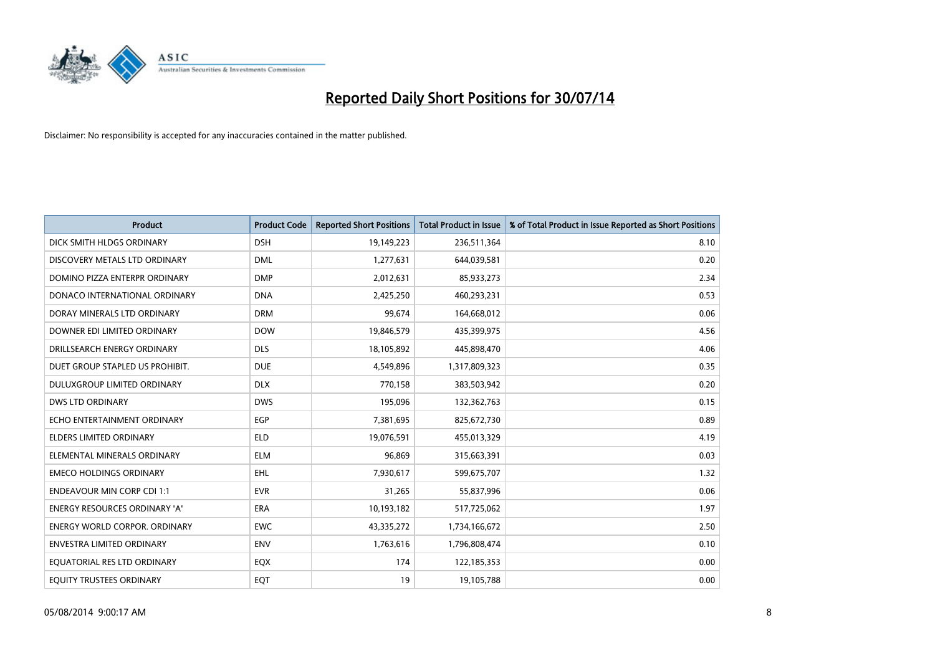

| <b>Product</b>                       | <b>Product Code</b> | <b>Reported Short Positions</b> | <b>Total Product in Issue</b> | % of Total Product in Issue Reported as Short Positions |
|--------------------------------------|---------------------|---------------------------------|-------------------------------|---------------------------------------------------------|
| DICK SMITH HLDGS ORDINARY            | <b>DSH</b>          | 19,149,223                      | 236,511,364                   | 8.10                                                    |
| DISCOVERY METALS LTD ORDINARY        | <b>DML</b>          | 1,277,631                       | 644,039,581                   | 0.20                                                    |
| DOMINO PIZZA ENTERPR ORDINARY        | <b>DMP</b>          | 2,012,631                       | 85,933,273                    | 2.34                                                    |
| DONACO INTERNATIONAL ORDINARY        | <b>DNA</b>          | 2,425,250                       | 460,293,231                   | 0.53                                                    |
| DORAY MINERALS LTD ORDINARY          | <b>DRM</b>          | 99,674                          | 164,668,012                   | 0.06                                                    |
| DOWNER EDI LIMITED ORDINARY          | <b>DOW</b>          | 19,846,579                      | 435,399,975                   | 4.56                                                    |
| DRILLSEARCH ENERGY ORDINARY          | <b>DLS</b>          | 18,105,892                      | 445,898,470                   | 4.06                                                    |
| DUET GROUP STAPLED US PROHIBIT.      | <b>DUE</b>          | 4,549,896                       | 1,317,809,323                 | 0.35                                                    |
| DULUXGROUP LIMITED ORDINARY          | <b>DLX</b>          | 770,158                         | 383,503,942                   | 0.20                                                    |
| <b>DWS LTD ORDINARY</b>              | <b>DWS</b>          | 195,096                         | 132,362,763                   | 0.15                                                    |
| ECHO ENTERTAINMENT ORDINARY          | <b>EGP</b>          | 7,381,695                       | 825,672,730                   | 0.89                                                    |
| <b>ELDERS LIMITED ORDINARY</b>       | <b>ELD</b>          | 19,076,591                      | 455,013,329                   | 4.19                                                    |
| ELEMENTAL MINERALS ORDINARY          | <b>ELM</b>          | 96,869                          | 315,663,391                   | 0.03                                                    |
| <b>EMECO HOLDINGS ORDINARY</b>       | <b>EHL</b>          | 7,930,617                       | 599,675,707                   | 1.32                                                    |
| <b>ENDEAVOUR MIN CORP CDI 1:1</b>    | <b>EVR</b>          | 31,265                          | 55,837,996                    | 0.06                                                    |
| <b>ENERGY RESOURCES ORDINARY 'A'</b> | ERA                 | 10,193,182                      | 517,725,062                   | 1.97                                                    |
| <b>ENERGY WORLD CORPOR. ORDINARY</b> | <b>EWC</b>          | 43,335,272                      | 1,734,166,672                 | 2.50                                                    |
| ENVESTRA LIMITED ORDINARY            | <b>ENV</b>          | 1,763,616                       | 1,796,808,474                 | 0.10                                                    |
| EQUATORIAL RES LTD ORDINARY          | EQX                 | 174                             | 122,185,353                   | 0.00                                                    |
| EQUITY TRUSTEES ORDINARY             | EQT                 | 19                              | 19,105,788                    | 0.00                                                    |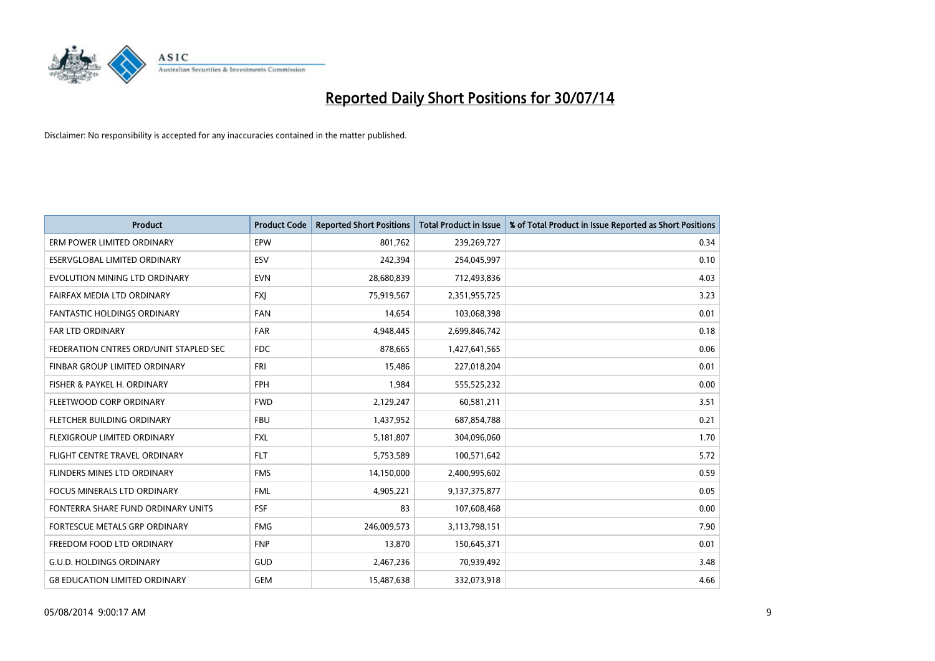

| <b>Product</b>                         | <b>Product Code</b> | <b>Reported Short Positions</b> | <b>Total Product in Issue</b> | % of Total Product in Issue Reported as Short Positions |
|----------------------------------------|---------------------|---------------------------------|-------------------------------|---------------------------------------------------------|
| ERM POWER LIMITED ORDINARY             | EPW                 | 801,762                         | 239,269,727                   | 0.34                                                    |
| ESERVGLOBAL LIMITED ORDINARY           | <b>ESV</b>          | 242,394                         | 254,045,997                   | 0.10                                                    |
| EVOLUTION MINING LTD ORDINARY          | <b>EVN</b>          | 28,680,839                      | 712,493,836                   | 4.03                                                    |
| FAIRFAX MEDIA LTD ORDINARY             | <b>FXJ</b>          | 75,919,567                      | 2,351,955,725                 | 3.23                                                    |
| FANTASTIC HOLDINGS ORDINARY            | <b>FAN</b>          | 14,654                          | 103,068,398                   | 0.01                                                    |
| <b>FAR LTD ORDINARY</b>                | <b>FAR</b>          | 4,948,445                       | 2,699,846,742                 | 0.18                                                    |
| FEDERATION CNTRES ORD/UNIT STAPLED SEC | FDC                 | 878,665                         | 1,427,641,565                 | 0.06                                                    |
| FINBAR GROUP LIMITED ORDINARY          | <b>FRI</b>          | 15,486                          | 227,018,204                   | 0.01                                                    |
| FISHER & PAYKEL H. ORDINARY            | <b>FPH</b>          | 1,984                           | 555,525,232                   | 0.00                                                    |
| FLEETWOOD CORP ORDINARY                | <b>FWD</b>          | 2,129,247                       | 60,581,211                    | 3.51                                                    |
| FLETCHER BUILDING ORDINARY             | <b>FBU</b>          | 1,437,952                       | 687,854,788                   | 0.21                                                    |
| FLEXIGROUP LIMITED ORDINARY            | <b>FXL</b>          | 5,181,807                       | 304,096,060                   | 1.70                                                    |
| FLIGHT CENTRE TRAVEL ORDINARY          | <b>FLT</b>          | 5,753,589                       | 100,571,642                   | 5.72                                                    |
| FLINDERS MINES LTD ORDINARY            | <b>FMS</b>          | 14,150,000                      | 2,400,995,602                 | 0.59                                                    |
| <b>FOCUS MINERALS LTD ORDINARY</b>     | <b>FML</b>          | 4,905,221                       | 9,137,375,877                 | 0.05                                                    |
| FONTERRA SHARE FUND ORDINARY UNITS     | <b>FSF</b>          | 83                              | 107,608,468                   | 0.00                                                    |
| FORTESCUE METALS GRP ORDINARY          | <b>FMG</b>          | 246,009,573                     | 3,113,798,151                 | 7.90                                                    |
| FREEDOM FOOD LTD ORDINARY              | <b>FNP</b>          | 13,870                          | 150,645,371                   | 0.01                                                    |
| <b>G.U.D. HOLDINGS ORDINARY</b>        | GUD                 | 2,467,236                       | 70,939,492                    | 3.48                                                    |
| <b>G8 EDUCATION LIMITED ORDINARY</b>   | <b>GEM</b>          | 15,487,638                      | 332,073,918                   | 4.66                                                    |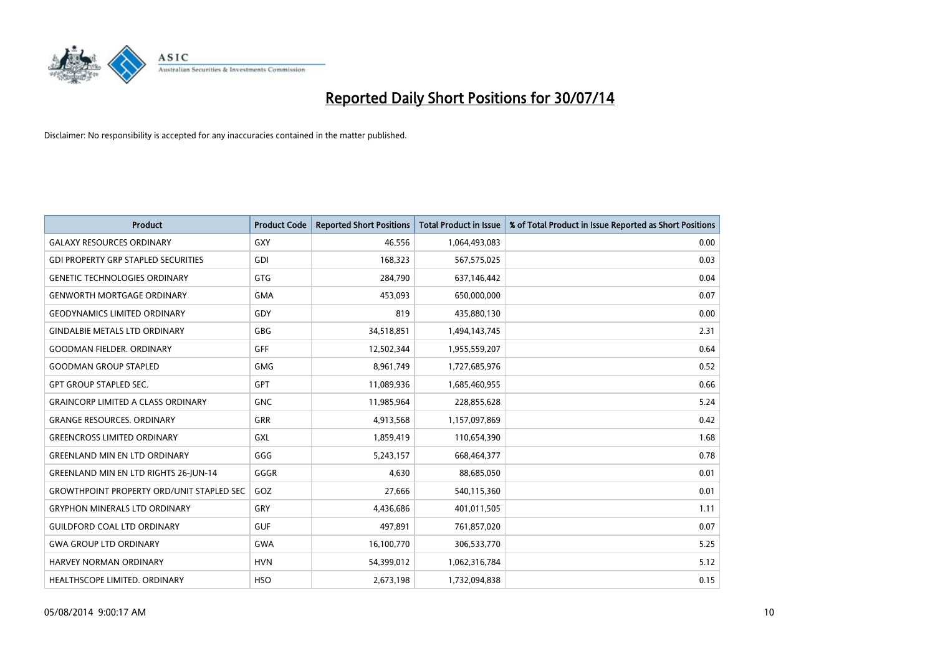

| <b>Product</b>                                   | <b>Product Code</b> | <b>Reported Short Positions</b> | <b>Total Product in Issue</b> | % of Total Product in Issue Reported as Short Positions |
|--------------------------------------------------|---------------------|---------------------------------|-------------------------------|---------------------------------------------------------|
| <b>GALAXY RESOURCES ORDINARY</b>                 | GXY                 | 46,556                          | 1,064,493,083                 | 0.00                                                    |
| <b>GDI PROPERTY GRP STAPLED SECURITIES</b>       | GDI                 | 168,323                         | 567,575,025                   | 0.03                                                    |
| <b>GENETIC TECHNOLOGIES ORDINARY</b>             | GTG                 | 284,790                         | 637,146,442                   | 0.04                                                    |
| <b>GENWORTH MORTGAGE ORDINARY</b>                | <b>GMA</b>          | 453,093                         | 650,000,000                   | 0.07                                                    |
| <b>GEODYNAMICS LIMITED ORDINARY</b>              | GDY                 | 819                             | 435,880,130                   | 0.00                                                    |
| <b>GINDALBIE METALS LTD ORDINARY</b>             | GBG                 | 34,518,851                      | 1,494,143,745                 | 2.31                                                    |
| <b>GOODMAN FIELDER, ORDINARY</b>                 | <b>GFF</b>          | 12,502,344                      | 1,955,559,207                 | 0.64                                                    |
| <b>GOODMAN GROUP STAPLED</b>                     | <b>GMG</b>          | 8,961,749                       | 1,727,685,976                 | 0.52                                                    |
| <b>GPT GROUP STAPLED SEC.</b>                    | <b>GPT</b>          | 11,089,936                      | 1,685,460,955                 | 0.66                                                    |
| <b>GRAINCORP LIMITED A CLASS ORDINARY</b>        | <b>GNC</b>          | 11,985,964                      | 228,855,628                   | 5.24                                                    |
| <b>GRANGE RESOURCES. ORDINARY</b>                | GRR                 | 4,913,568                       | 1,157,097,869                 | 0.42                                                    |
| <b>GREENCROSS LIMITED ORDINARY</b>               | <b>GXL</b>          | 1,859,419                       | 110,654,390                   | 1.68                                                    |
| <b>GREENLAND MIN EN LTD ORDINARY</b>             | GGG                 | 5,243,157                       | 668,464,377                   | 0.78                                                    |
| <b>GREENLAND MIN EN LTD RIGHTS 26-JUN-14</b>     | GGGR                | 4,630                           | 88,685,050                    | 0.01                                                    |
| <b>GROWTHPOINT PROPERTY ORD/UNIT STAPLED SEC</b> | GOZ                 | 27,666                          | 540,115,360                   | 0.01                                                    |
| <b>GRYPHON MINERALS LTD ORDINARY</b>             | GRY                 | 4,436,686                       | 401,011,505                   | 1.11                                                    |
| <b>GUILDFORD COAL LTD ORDINARY</b>               | <b>GUF</b>          | 497,891                         | 761,857,020                   | 0.07                                                    |
| <b>GWA GROUP LTD ORDINARY</b>                    | <b>GWA</b>          | 16,100,770                      | 306,533,770                   | 5.25                                                    |
| HARVEY NORMAN ORDINARY                           | <b>HVN</b>          | 54,399,012                      | 1,062,316,784                 | 5.12                                                    |
| <b>HEALTHSCOPE LIMITED, ORDINARY</b>             | <b>HSO</b>          | 2,673,198                       | 1,732,094,838                 | 0.15                                                    |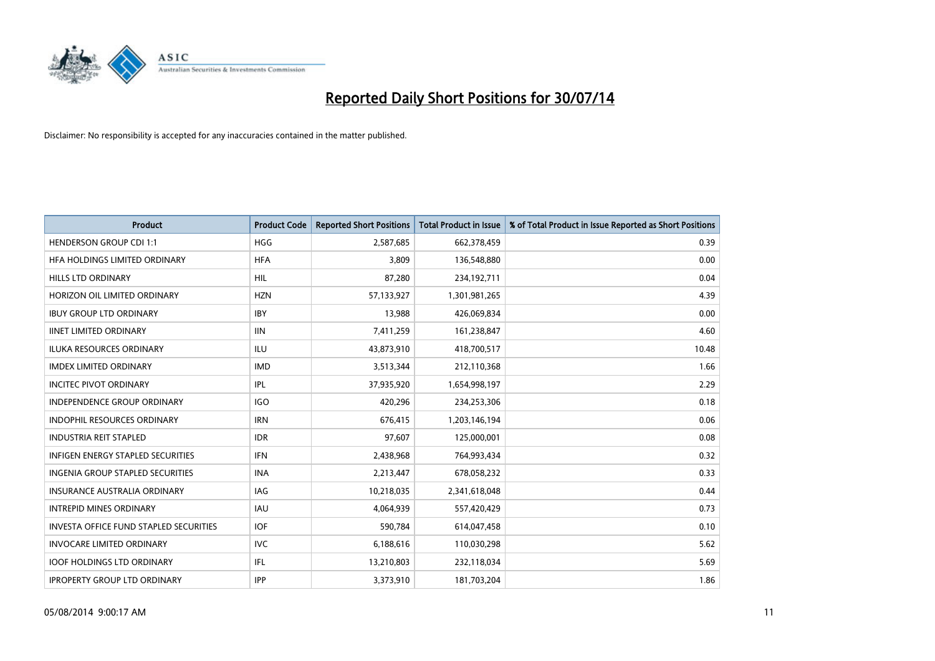

| <b>Product</b>                                | <b>Product Code</b> | <b>Reported Short Positions</b> | <b>Total Product in Issue</b> | % of Total Product in Issue Reported as Short Positions |
|-----------------------------------------------|---------------------|---------------------------------|-------------------------------|---------------------------------------------------------|
| <b>HENDERSON GROUP CDI 1:1</b>                | <b>HGG</b>          | 2,587,685                       | 662,378,459                   | 0.39                                                    |
| HEA HOLDINGS LIMITED ORDINARY                 | <b>HFA</b>          | 3,809                           | 136,548,880                   | 0.00                                                    |
| HILLS LTD ORDINARY                            | <b>HIL</b>          | 87,280                          | 234,192,711                   | 0.04                                                    |
| HORIZON OIL LIMITED ORDINARY                  | <b>HZN</b>          | 57,133,927                      | 1,301,981,265                 | 4.39                                                    |
| <b>IBUY GROUP LTD ORDINARY</b>                | <b>IBY</b>          | 13,988                          | 426,069,834                   | 0.00                                                    |
| <b>IINET LIMITED ORDINARY</b>                 | <b>IIN</b>          | 7,411,259                       | 161,238,847                   | 4.60                                                    |
| <b>ILUKA RESOURCES ORDINARY</b>               | ILU                 | 43,873,910                      | 418,700,517                   | 10.48                                                   |
| <b>IMDEX LIMITED ORDINARY</b>                 | <b>IMD</b>          | 3,513,344                       | 212,110,368                   | 1.66                                                    |
| <b>INCITEC PIVOT ORDINARY</b>                 | IPL                 | 37,935,920                      | 1,654,998,197                 | 2.29                                                    |
| <b>INDEPENDENCE GROUP ORDINARY</b>            | <b>IGO</b>          | 420,296                         | 234,253,306                   | 0.18                                                    |
| INDOPHIL RESOURCES ORDINARY                   | <b>IRN</b>          | 676,415                         | 1,203,146,194                 | 0.06                                                    |
| <b>INDUSTRIA REIT STAPLED</b>                 | <b>IDR</b>          | 97,607                          | 125,000,001                   | 0.08                                                    |
| <b>INFIGEN ENERGY STAPLED SECURITIES</b>      | <b>IFN</b>          | 2,438,968                       | 764,993,434                   | 0.32                                                    |
| <b>INGENIA GROUP STAPLED SECURITIES</b>       | <b>INA</b>          | 2,213,447                       | 678,058,232                   | 0.33                                                    |
| <b>INSURANCE AUSTRALIA ORDINARY</b>           | IAG                 | 10,218,035                      | 2,341,618,048                 | 0.44                                                    |
| <b>INTREPID MINES ORDINARY</b>                | <b>IAU</b>          | 4,064,939                       | 557,420,429                   | 0.73                                                    |
| <b>INVESTA OFFICE FUND STAPLED SECURITIES</b> | <b>IOF</b>          | 590,784                         | 614,047,458                   | 0.10                                                    |
| <b>INVOCARE LIMITED ORDINARY</b>              | <b>IVC</b>          | 6,188,616                       | 110,030,298                   | 5.62                                                    |
| <b>IOOF HOLDINGS LTD ORDINARY</b>             | IFL                 | 13,210,803                      | 232,118,034                   | 5.69                                                    |
| <b>IPROPERTY GROUP LTD ORDINARY</b>           | <b>IPP</b>          | 3,373,910                       | 181,703,204                   | 1.86                                                    |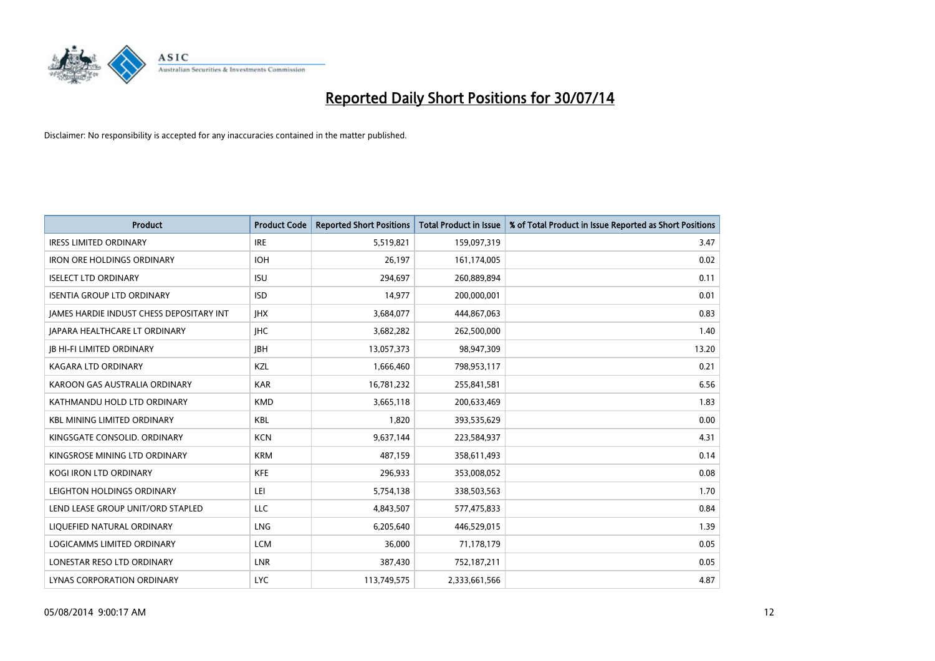

| <b>Product</b>                                  | <b>Product Code</b> | <b>Reported Short Positions</b> | <b>Total Product in Issue</b> | % of Total Product in Issue Reported as Short Positions |
|-------------------------------------------------|---------------------|---------------------------------|-------------------------------|---------------------------------------------------------|
| <b>IRESS LIMITED ORDINARY</b>                   | <b>IRE</b>          | 5,519,821                       | 159,097,319                   | 3.47                                                    |
| <b>IRON ORE HOLDINGS ORDINARY</b>               | <b>IOH</b>          | 26,197                          | 161,174,005                   | 0.02                                                    |
| <b>ISELECT LTD ORDINARY</b>                     | <b>ISU</b>          | 294,697                         | 260,889,894                   | 0.11                                                    |
| <b>ISENTIA GROUP LTD ORDINARY</b>               | <b>ISD</b>          | 14,977                          | 200,000,001                   | 0.01                                                    |
| <b>IAMES HARDIE INDUST CHESS DEPOSITARY INT</b> | <b>IHX</b>          | 3,684,077                       | 444,867,063                   | 0.83                                                    |
| JAPARA HEALTHCARE LT ORDINARY                   | <b>IHC</b>          | 3,682,282                       | 262,500,000                   | 1.40                                                    |
| <b>JB HI-FI LIMITED ORDINARY</b>                | <b>IBH</b>          | 13,057,373                      | 98,947,309                    | 13.20                                                   |
| <b>KAGARA LTD ORDINARY</b>                      | KZL                 | 1,666,460                       | 798,953,117                   | 0.21                                                    |
| KAROON GAS AUSTRALIA ORDINARY                   | <b>KAR</b>          | 16,781,232                      | 255,841,581                   | 6.56                                                    |
| KATHMANDU HOLD LTD ORDINARY                     | <b>KMD</b>          | 3,665,118                       | 200,633,469                   | 1.83                                                    |
| <b>KBL MINING LIMITED ORDINARY</b>              | <b>KBL</b>          | 1,820                           | 393,535,629                   | 0.00                                                    |
| KINGSGATE CONSOLID. ORDINARY                    | <b>KCN</b>          | 9,637,144                       | 223,584,937                   | 4.31                                                    |
| KINGSROSE MINING LTD ORDINARY                   | <b>KRM</b>          | 487,159                         | 358,611,493                   | 0.14                                                    |
| <b>KOGI IRON LTD ORDINARY</b>                   | <b>KFE</b>          | 296,933                         | 353,008,052                   | 0.08                                                    |
| LEIGHTON HOLDINGS ORDINARY                      | LEI                 | 5,754,138                       | 338,503,563                   | 1.70                                                    |
| LEND LEASE GROUP UNIT/ORD STAPLED               | LLC                 | 4,843,507                       | 577,475,833                   | 0.84                                                    |
| LIQUEFIED NATURAL ORDINARY                      | LNG                 | 6,205,640                       | 446,529,015                   | 1.39                                                    |
| LOGICAMMS LIMITED ORDINARY                      | <b>LCM</b>          | 36,000                          | 71,178,179                    | 0.05                                                    |
| LONESTAR RESO LTD ORDINARY                      | <b>LNR</b>          | 387,430                         | 752,187,211                   | 0.05                                                    |
| LYNAS CORPORATION ORDINARY                      | <b>LYC</b>          | 113,749,575                     | 2,333,661,566                 | 4.87                                                    |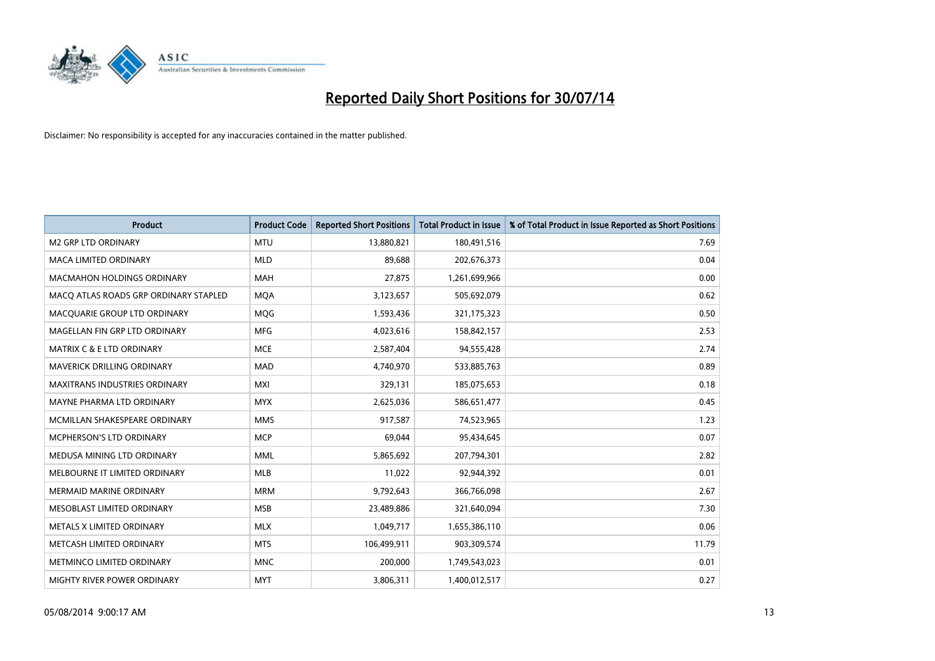

| <b>Product</b>                        | <b>Product Code</b> | <b>Reported Short Positions</b> | <b>Total Product in Issue</b> | % of Total Product in Issue Reported as Short Positions |
|---------------------------------------|---------------------|---------------------------------|-------------------------------|---------------------------------------------------------|
| <b>M2 GRP LTD ORDINARY</b>            | <b>MTU</b>          | 13,880,821                      | 180,491,516                   | 7.69                                                    |
| MACA LIMITED ORDINARY                 | <b>MLD</b>          | 89,688                          | 202,676,373                   | 0.04                                                    |
| MACMAHON HOLDINGS ORDINARY            | <b>MAH</b>          | 27,875                          | 1,261,699,966                 | 0.00                                                    |
| MACO ATLAS ROADS GRP ORDINARY STAPLED | <b>MOA</b>          | 3,123,657                       | 505,692,079                   | 0.62                                                    |
| MACQUARIE GROUP LTD ORDINARY          | <b>MQG</b>          | 1,593,436                       | 321,175,323                   | 0.50                                                    |
| MAGELLAN FIN GRP LTD ORDINARY         | <b>MFG</b>          | 4,023,616                       | 158,842,157                   | 2.53                                                    |
| MATRIX C & E LTD ORDINARY             | <b>MCE</b>          | 2,587,404                       | 94,555,428                    | 2.74                                                    |
| MAVERICK DRILLING ORDINARY            | <b>MAD</b>          | 4,740,970                       | 533,885,763                   | 0.89                                                    |
| <b>MAXITRANS INDUSTRIES ORDINARY</b>  | <b>MXI</b>          | 329,131                         | 185,075,653                   | 0.18                                                    |
| MAYNE PHARMA LTD ORDINARY             | <b>MYX</b>          | 2,625,036                       | 586,651,477                   | 0.45                                                    |
| MCMILLAN SHAKESPEARE ORDINARY         | <b>MMS</b>          | 917,587                         | 74,523,965                    | 1.23                                                    |
| MCPHERSON'S LTD ORDINARY              | <b>MCP</b>          | 69,044                          | 95,434,645                    | 0.07                                                    |
| MEDUSA MINING LTD ORDINARY            | <b>MML</b>          | 5,865,692                       | 207,794,301                   | 2.82                                                    |
| MELBOURNE IT LIMITED ORDINARY         | <b>MLB</b>          | 11,022                          | 92,944,392                    | 0.01                                                    |
| <b>MERMAID MARINE ORDINARY</b>        | <b>MRM</b>          | 9,792,643                       | 366,766,098                   | 2.67                                                    |
| MESOBLAST LIMITED ORDINARY            | <b>MSB</b>          | 23,489,886                      | 321,640,094                   | 7.30                                                    |
| METALS X LIMITED ORDINARY             | <b>MLX</b>          | 1,049,717                       | 1,655,386,110                 | 0.06                                                    |
| METCASH LIMITED ORDINARY              | <b>MTS</b>          | 106,499,911                     | 903,309,574                   | 11.79                                                   |
| METMINCO LIMITED ORDINARY             | <b>MNC</b>          | 200,000                         | 1,749,543,023                 | 0.01                                                    |
| MIGHTY RIVER POWER ORDINARY           | <b>MYT</b>          | 3,806,311                       | 1,400,012,517                 | 0.27                                                    |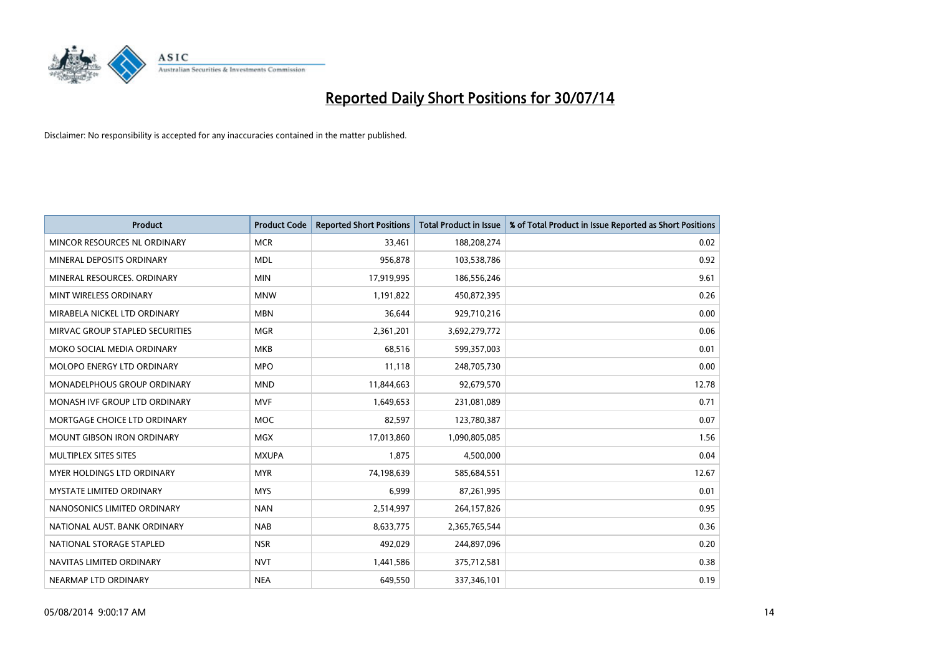

| <b>Product</b>                    | <b>Product Code</b> | <b>Reported Short Positions</b> | <b>Total Product in Issue</b> | % of Total Product in Issue Reported as Short Positions |
|-----------------------------------|---------------------|---------------------------------|-------------------------------|---------------------------------------------------------|
| MINCOR RESOURCES NL ORDINARY      | <b>MCR</b>          | 33,461                          | 188,208,274                   | 0.02                                                    |
| MINERAL DEPOSITS ORDINARY         | <b>MDL</b>          | 956,878                         | 103,538,786                   | 0.92                                                    |
| MINERAL RESOURCES. ORDINARY       | <b>MIN</b>          | 17,919,995                      | 186,556,246                   | 9.61                                                    |
| MINT WIRELESS ORDINARY            | <b>MNW</b>          | 1,191,822                       | 450,872,395                   | 0.26                                                    |
| MIRABELA NICKEL LTD ORDINARY      | <b>MBN</b>          | 36,644                          | 929,710,216                   | 0.00                                                    |
| MIRVAC GROUP STAPLED SECURITIES   | <b>MGR</b>          | 2,361,201                       | 3,692,279,772                 | 0.06                                                    |
| MOKO SOCIAL MEDIA ORDINARY        | <b>MKB</b>          | 68,516                          | 599,357,003                   | 0.01                                                    |
| MOLOPO ENERGY LTD ORDINARY        | <b>MPO</b>          | 11,118                          | 248,705,730                   | 0.00                                                    |
| MONADELPHOUS GROUP ORDINARY       | <b>MND</b>          | 11,844,663                      | 92,679,570                    | 12.78                                                   |
| MONASH IVF GROUP LTD ORDINARY     | <b>MVF</b>          | 1,649,653                       | 231,081,089                   | 0.71                                                    |
| MORTGAGE CHOICE LTD ORDINARY      | <b>MOC</b>          | 82,597                          | 123,780,387                   | 0.07                                                    |
| <b>MOUNT GIBSON IRON ORDINARY</b> | <b>MGX</b>          | 17,013,860                      | 1,090,805,085                 | 1.56                                                    |
| MULTIPLEX SITES SITES             | <b>MXUPA</b>        | 1,875                           | 4,500,000                     | 0.04                                                    |
| MYER HOLDINGS LTD ORDINARY        | <b>MYR</b>          | 74,198,639                      | 585,684,551                   | 12.67                                                   |
| <b>MYSTATE LIMITED ORDINARY</b>   | <b>MYS</b>          | 6,999                           | 87,261,995                    | 0.01                                                    |
| NANOSONICS LIMITED ORDINARY       | <b>NAN</b>          | 2,514,997                       | 264,157,826                   | 0.95                                                    |
| NATIONAL AUST. BANK ORDINARY      | <b>NAB</b>          | 8,633,775                       | 2,365,765,544                 | 0.36                                                    |
| NATIONAL STORAGE STAPLED          | <b>NSR</b>          | 492,029                         | 244,897,096                   | 0.20                                                    |
| NAVITAS LIMITED ORDINARY          | <b>NVT</b>          | 1,441,586                       | 375,712,581                   | 0.38                                                    |
| NEARMAP LTD ORDINARY              | <b>NEA</b>          | 649,550                         | 337,346,101                   | 0.19                                                    |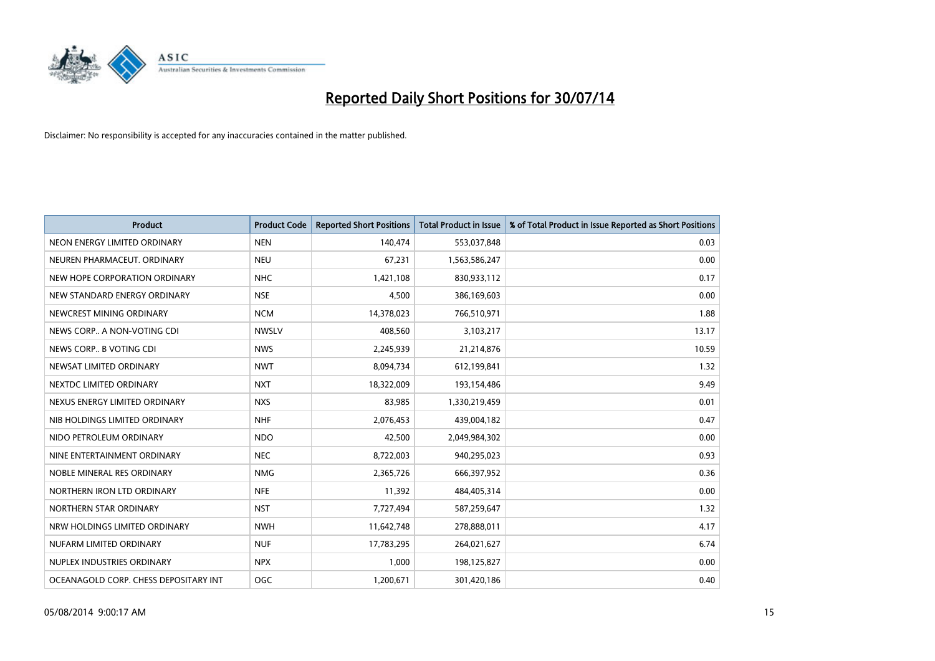

| <b>Product</b>                        | <b>Product Code</b> | <b>Reported Short Positions</b> | <b>Total Product in Issue</b> | % of Total Product in Issue Reported as Short Positions |
|---------------------------------------|---------------------|---------------------------------|-------------------------------|---------------------------------------------------------|
| NEON ENERGY LIMITED ORDINARY          | <b>NEN</b>          | 140,474                         | 553,037,848                   | 0.03                                                    |
| NEUREN PHARMACEUT. ORDINARY           | <b>NEU</b>          | 67,231                          | 1,563,586,247                 | 0.00                                                    |
| NEW HOPE CORPORATION ORDINARY         | <b>NHC</b>          | 1,421,108                       | 830,933,112                   | 0.17                                                    |
| NEW STANDARD ENERGY ORDINARY          | <b>NSE</b>          | 4,500                           | 386,169,603                   | 0.00                                                    |
| NEWCREST MINING ORDINARY              | <b>NCM</b>          | 14,378,023                      | 766,510,971                   | 1.88                                                    |
| NEWS CORP A NON-VOTING CDI            | <b>NWSLV</b>        | 408,560                         | 3,103,217                     | 13.17                                                   |
| NEWS CORP B VOTING CDI                | <b>NWS</b>          | 2,245,939                       | 21,214,876                    | 10.59                                                   |
| NEWSAT LIMITED ORDINARY               | <b>NWT</b>          | 8,094,734                       | 612,199,841                   | 1.32                                                    |
| NEXTDC LIMITED ORDINARY               | <b>NXT</b>          | 18,322,009                      | 193,154,486                   | 9.49                                                    |
| NEXUS ENERGY LIMITED ORDINARY         | <b>NXS</b>          | 83,985                          | 1,330,219,459                 | 0.01                                                    |
| NIB HOLDINGS LIMITED ORDINARY         | <b>NHF</b>          | 2,076,453                       | 439,004,182                   | 0.47                                                    |
| NIDO PETROLEUM ORDINARY               | <b>NDO</b>          | 42,500                          | 2,049,984,302                 | 0.00                                                    |
| NINE ENTERTAINMENT ORDINARY           | <b>NEC</b>          | 8,722,003                       | 940,295,023                   | 0.93                                                    |
| NOBLE MINERAL RES ORDINARY            | <b>NMG</b>          | 2,365,726                       | 666,397,952                   | 0.36                                                    |
| NORTHERN IRON LTD ORDINARY            | <b>NFE</b>          | 11,392                          | 484,405,314                   | 0.00                                                    |
| NORTHERN STAR ORDINARY                | <b>NST</b>          | 7,727,494                       | 587,259,647                   | 1.32                                                    |
| NRW HOLDINGS LIMITED ORDINARY         | <b>NWH</b>          | 11,642,748                      | 278,888,011                   | 4.17                                                    |
| NUFARM LIMITED ORDINARY               | <b>NUF</b>          | 17,783,295                      | 264,021,627                   | 6.74                                                    |
| NUPLEX INDUSTRIES ORDINARY            | <b>NPX</b>          | 1,000                           | 198,125,827                   | 0.00                                                    |
| OCEANAGOLD CORP. CHESS DEPOSITARY INT | <b>OGC</b>          | 1,200,671                       | 301,420,186                   | 0.40                                                    |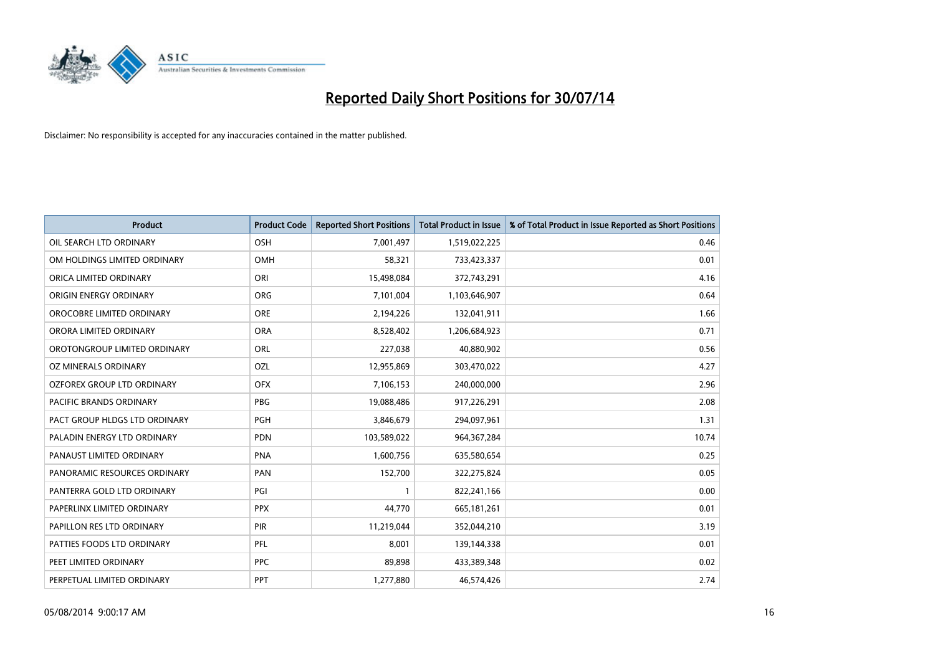

| <b>Product</b>                 | <b>Product Code</b> | <b>Reported Short Positions</b> | <b>Total Product in Issue</b> | % of Total Product in Issue Reported as Short Positions |
|--------------------------------|---------------------|---------------------------------|-------------------------------|---------------------------------------------------------|
| OIL SEARCH LTD ORDINARY        | OSH                 | 7,001,497                       | 1,519,022,225                 | 0.46                                                    |
| OM HOLDINGS LIMITED ORDINARY   | OMH                 | 58,321                          | 733,423,337                   | 0.01                                                    |
| ORICA LIMITED ORDINARY         | ORI                 | 15,498,084                      | 372,743,291                   | 4.16                                                    |
| ORIGIN ENERGY ORDINARY         | <b>ORG</b>          | 7,101,004                       | 1,103,646,907                 | 0.64                                                    |
| OROCOBRE LIMITED ORDINARY      | <b>ORE</b>          | 2,194,226                       | 132,041,911                   | 1.66                                                    |
| ORORA LIMITED ORDINARY         | <b>ORA</b>          | 8,528,402                       | 1,206,684,923                 | 0.71                                                    |
| OROTONGROUP LIMITED ORDINARY   | ORL                 | 227,038                         | 40,880,902                    | 0.56                                                    |
| OZ MINERALS ORDINARY           | OZL                 | 12,955,869                      | 303,470,022                   | 4.27                                                    |
| OZFOREX GROUP LTD ORDINARY     | <b>OFX</b>          | 7,106,153                       | 240,000,000                   | 2.96                                                    |
| <b>PACIFIC BRANDS ORDINARY</b> | <b>PBG</b>          | 19,088,486                      | 917,226,291                   | 2.08                                                    |
| PACT GROUP HLDGS LTD ORDINARY  | PGH                 | 3,846,679                       | 294,097,961                   | 1.31                                                    |
| PALADIN ENERGY LTD ORDINARY    | <b>PDN</b>          | 103,589,022                     | 964,367,284                   | 10.74                                                   |
| PANAUST LIMITED ORDINARY       | <b>PNA</b>          | 1,600,756                       | 635,580,654                   | 0.25                                                    |
| PANORAMIC RESOURCES ORDINARY   | PAN                 | 152,700                         | 322,275,824                   | 0.05                                                    |
| PANTERRA GOLD LTD ORDINARY     | PGI                 | $\mathbf{1}$                    | 822,241,166                   | 0.00                                                    |
| PAPERLINX LIMITED ORDINARY     | <b>PPX</b>          | 44,770                          | 665, 181, 261                 | 0.01                                                    |
| PAPILLON RES LTD ORDINARY      | PIR                 | 11,219,044                      | 352,044,210                   | 3.19                                                    |
| PATTIES FOODS LTD ORDINARY     | PFL                 | 8,001                           | 139,144,338                   | 0.01                                                    |
| PEET LIMITED ORDINARY          | <b>PPC</b>          | 89,898                          | 433,389,348                   | 0.02                                                    |
| PERPETUAL LIMITED ORDINARY     | <b>PPT</b>          | 1,277,880                       | 46,574,426                    | 2.74                                                    |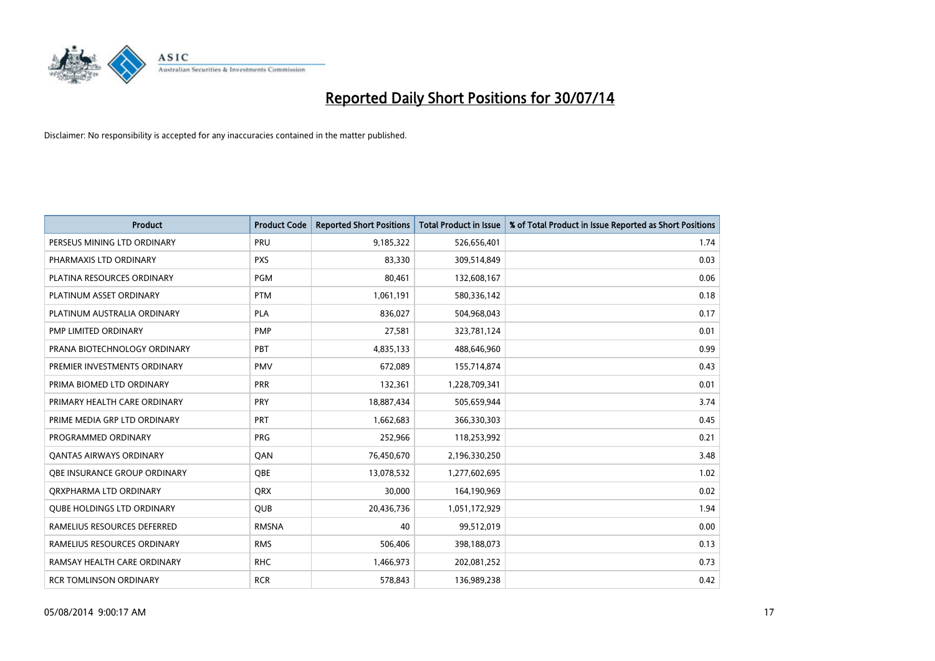

| <b>Product</b>                    | <b>Product Code</b> | <b>Reported Short Positions</b> | <b>Total Product in Issue</b> | % of Total Product in Issue Reported as Short Positions |
|-----------------------------------|---------------------|---------------------------------|-------------------------------|---------------------------------------------------------|
| PERSEUS MINING LTD ORDINARY       | PRU                 | 9,185,322                       | 526,656,401                   | 1.74                                                    |
| PHARMAXIS LTD ORDINARY            | <b>PXS</b>          | 83,330                          | 309,514,849                   | 0.03                                                    |
| PLATINA RESOURCES ORDINARY        | <b>PGM</b>          | 80,461                          | 132,608,167                   | 0.06                                                    |
| PLATINUM ASSET ORDINARY           | <b>PTM</b>          | 1,061,191                       | 580,336,142                   | 0.18                                                    |
| PLATINUM AUSTRALIA ORDINARY       | <b>PLA</b>          | 836,027                         | 504,968,043                   | 0.17                                                    |
| PMP LIMITED ORDINARY              | <b>PMP</b>          | 27,581                          | 323,781,124                   | 0.01                                                    |
| PRANA BIOTECHNOLOGY ORDINARY      | PBT                 | 4,835,133                       | 488,646,960                   | 0.99                                                    |
| PREMIER INVESTMENTS ORDINARY      | <b>PMV</b>          | 672,089                         | 155,714,874                   | 0.43                                                    |
| PRIMA BIOMED LTD ORDINARY         | <b>PRR</b>          | 132,361                         | 1,228,709,341                 | 0.01                                                    |
| PRIMARY HEALTH CARE ORDINARY      | <b>PRY</b>          | 18,887,434                      | 505,659,944                   | 3.74                                                    |
| PRIME MEDIA GRP LTD ORDINARY      | PRT                 | 1,662,683                       | 366,330,303                   | 0.45                                                    |
| PROGRAMMED ORDINARY               | <b>PRG</b>          | 252,966                         | 118,253,992                   | 0.21                                                    |
| <b>QANTAS AIRWAYS ORDINARY</b>    | QAN                 | 76,450,670                      | 2,196,330,250                 | 3.48                                                    |
| OBE INSURANCE GROUP ORDINARY      | <b>OBE</b>          | 13,078,532                      | 1,277,602,695                 | 1.02                                                    |
| ORXPHARMA LTD ORDINARY            | <b>QRX</b>          | 30,000                          | 164,190,969                   | 0.02                                                    |
| <b>QUBE HOLDINGS LTD ORDINARY</b> | <b>QUB</b>          | 20,436,736                      | 1,051,172,929                 | 1.94                                                    |
| RAMELIUS RESOURCES DEFERRED       | <b>RMSNA</b>        | 40                              | 99,512,019                    | 0.00                                                    |
| RAMELIUS RESOURCES ORDINARY       | <b>RMS</b>          | 506,406                         | 398,188,073                   | 0.13                                                    |
| RAMSAY HEALTH CARE ORDINARY       | <b>RHC</b>          | 1,466,973                       | 202,081,252                   | 0.73                                                    |
| <b>RCR TOMLINSON ORDINARY</b>     | <b>RCR</b>          | 578,843                         | 136,989,238                   | 0.42                                                    |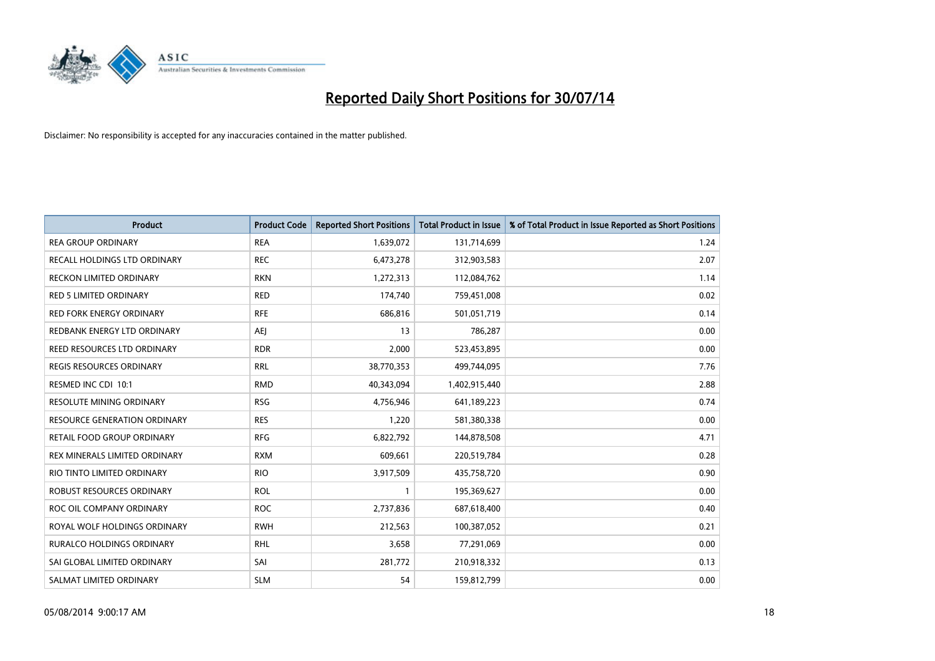

| <b>Product</b>                   | <b>Product Code</b> | <b>Reported Short Positions</b> | <b>Total Product in Issue</b> | % of Total Product in Issue Reported as Short Positions |
|----------------------------------|---------------------|---------------------------------|-------------------------------|---------------------------------------------------------|
| <b>REA GROUP ORDINARY</b>        | <b>REA</b>          | 1,639,072                       | 131,714,699                   | 1.24                                                    |
| RECALL HOLDINGS LTD ORDINARY     | <b>REC</b>          | 6,473,278                       | 312,903,583                   | 2.07                                                    |
| <b>RECKON LIMITED ORDINARY</b>   | <b>RKN</b>          | 1,272,313                       | 112,084,762                   | 1.14                                                    |
| <b>RED 5 LIMITED ORDINARY</b>    | <b>RED</b>          | 174,740                         | 759,451,008                   | 0.02                                                    |
| <b>RED FORK ENERGY ORDINARY</b>  | <b>RFE</b>          | 686,816                         | 501,051,719                   | 0.14                                                    |
| REDBANK ENERGY LTD ORDINARY      | <b>AEJ</b>          | 13                              | 786,287                       | 0.00                                                    |
| REED RESOURCES LTD ORDINARY      | <b>RDR</b>          | 2,000                           | 523,453,895                   | 0.00                                                    |
| REGIS RESOURCES ORDINARY         | <b>RRL</b>          | 38,770,353                      | 499,744,095                   | 7.76                                                    |
| RESMED INC CDI 10:1              | <b>RMD</b>          | 40,343,094                      | 1,402,915,440                 | 2.88                                                    |
| <b>RESOLUTE MINING ORDINARY</b>  | <b>RSG</b>          | 4,756,946                       | 641,189,223                   | 0.74                                                    |
| RESOURCE GENERATION ORDINARY     | <b>RES</b>          | 1,220                           | 581,380,338                   | 0.00                                                    |
| RETAIL FOOD GROUP ORDINARY       | <b>RFG</b>          | 6,822,792                       | 144,878,508                   | 4.71                                                    |
| REX MINERALS LIMITED ORDINARY    | <b>RXM</b>          | 609,661                         | 220,519,784                   | 0.28                                                    |
| RIO TINTO LIMITED ORDINARY       | <b>RIO</b>          | 3,917,509                       | 435,758,720                   | 0.90                                                    |
| <b>ROBUST RESOURCES ORDINARY</b> | <b>ROL</b>          | 1                               | 195,369,627                   | 0.00                                                    |
| ROC OIL COMPANY ORDINARY         | <b>ROC</b>          | 2,737,836                       | 687,618,400                   | 0.40                                                    |
| ROYAL WOLF HOLDINGS ORDINARY     | <b>RWH</b>          | 212,563                         | 100,387,052                   | 0.21                                                    |
| RURALCO HOLDINGS ORDINARY        | <b>RHL</b>          | 3,658                           | 77,291,069                    | 0.00                                                    |
| SAI GLOBAL LIMITED ORDINARY      | SAI                 | 281,772                         | 210,918,332                   | 0.13                                                    |
| SALMAT LIMITED ORDINARY          | <b>SLM</b>          | 54                              | 159,812,799                   | 0.00                                                    |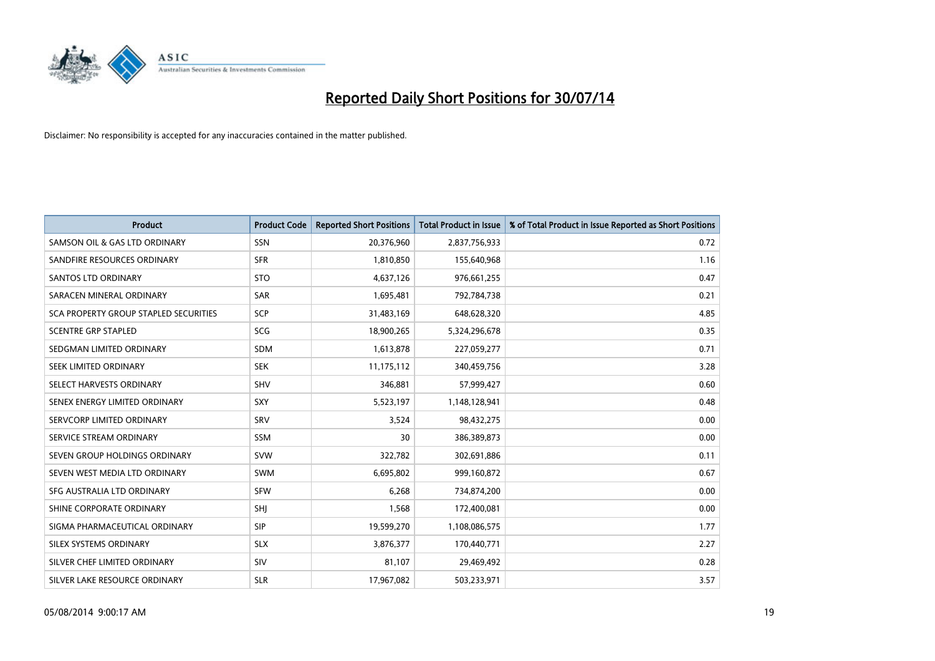

| <b>Product</b>                        | <b>Product Code</b> | <b>Reported Short Positions</b> | <b>Total Product in Issue</b> | % of Total Product in Issue Reported as Short Positions |
|---------------------------------------|---------------------|---------------------------------|-------------------------------|---------------------------------------------------------|
| SAMSON OIL & GAS LTD ORDINARY         | SSN                 | 20,376,960                      | 2,837,756,933                 | 0.72                                                    |
| SANDFIRE RESOURCES ORDINARY           | <b>SFR</b>          | 1,810,850                       | 155,640,968                   | 1.16                                                    |
| SANTOS LTD ORDINARY                   | <b>STO</b>          | 4,637,126                       | 976,661,255                   | 0.47                                                    |
| SARACEN MINERAL ORDINARY              | <b>SAR</b>          | 1,695,481                       | 792,784,738                   | 0.21                                                    |
| SCA PROPERTY GROUP STAPLED SECURITIES | <b>SCP</b>          | 31,483,169                      | 648,628,320                   | 4.85                                                    |
| <b>SCENTRE GRP STAPLED</b>            | SCG                 | 18,900,265                      | 5,324,296,678                 | 0.35                                                    |
| SEDGMAN LIMITED ORDINARY              | <b>SDM</b>          | 1,613,878                       | 227,059,277                   | 0.71                                                    |
| SEEK LIMITED ORDINARY                 | <b>SEK</b>          | 11,175,112                      | 340,459,756                   | 3.28                                                    |
| SELECT HARVESTS ORDINARY              | SHV                 | 346,881                         | 57,999,427                    | 0.60                                                    |
| SENEX ENERGY LIMITED ORDINARY         | <b>SXY</b>          | 5,523,197                       | 1,148,128,941                 | 0.48                                                    |
| SERVCORP LIMITED ORDINARY             | SRV                 | 3,524                           | 98,432,275                    | 0.00                                                    |
| SERVICE STREAM ORDINARY               | SSM                 | 30                              | 386,389,873                   | 0.00                                                    |
| SEVEN GROUP HOLDINGS ORDINARY         | <b>SVW</b>          | 322,782                         | 302,691,886                   | 0.11                                                    |
| SEVEN WEST MEDIA LTD ORDINARY         | <b>SWM</b>          | 6,695,802                       | 999,160,872                   | 0.67                                                    |
| SFG AUSTRALIA LTD ORDINARY            | <b>SFW</b>          | 6,268                           | 734,874,200                   | 0.00                                                    |
| SHINE CORPORATE ORDINARY              | <b>SHI</b>          | 1,568                           | 172,400,081                   | 0.00                                                    |
| SIGMA PHARMACEUTICAL ORDINARY         | <b>SIP</b>          | 19,599,270                      | 1,108,086,575                 | 1.77                                                    |
| SILEX SYSTEMS ORDINARY                | <b>SLX</b>          | 3,876,377                       | 170,440,771                   | 2.27                                                    |
| SILVER CHEF LIMITED ORDINARY          | SIV                 | 81,107                          | 29,469,492                    | 0.28                                                    |
| SILVER LAKE RESOURCE ORDINARY         | <b>SLR</b>          | 17,967,082                      | 503,233,971                   | 3.57                                                    |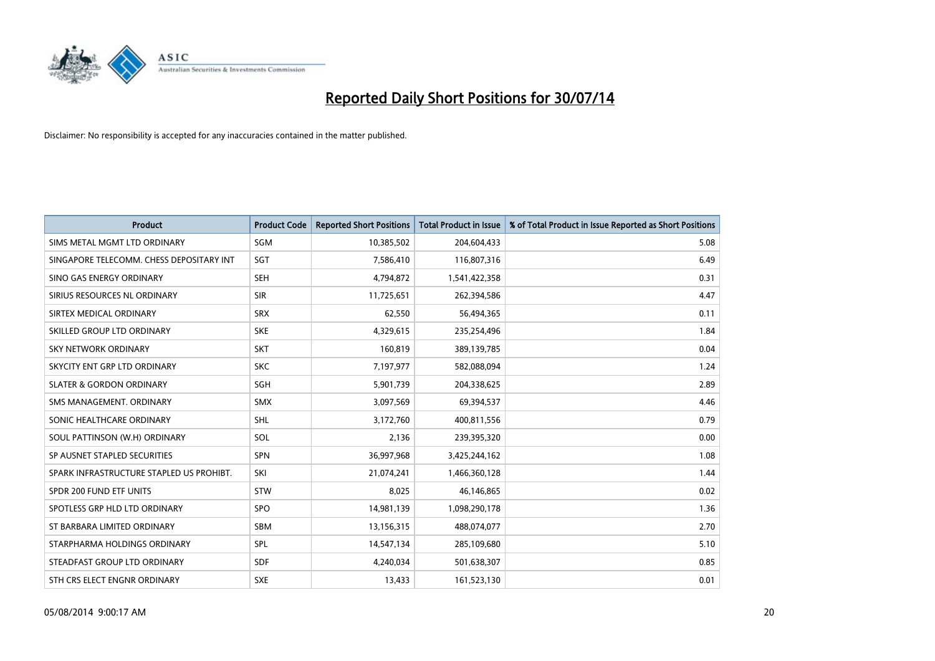

| <b>Product</b>                           | <b>Product Code</b> | <b>Reported Short Positions</b> | <b>Total Product in Issue</b> | % of Total Product in Issue Reported as Short Positions |
|------------------------------------------|---------------------|---------------------------------|-------------------------------|---------------------------------------------------------|
| SIMS METAL MGMT LTD ORDINARY             | SGM                 | 10,385,502                      | 204,604,433                   | 5.08                                                    |
| SINGAPORE TELECOMM. CHESS DEPOSITARY INT | <b>SGT</b>          | 7,586,410                       | 116,807,316                   | 6.49                                                    |
| SINO GAS ENERGY ORDINARY                 | <b>SEH</b>          | 4,794,872                       | 1,541,422,358                 | 0.31                                                    |
| SIRIUS RESOURCES NL ORDINARY             | <b>SIR</b>          | 11,725,651                      | 262,394,586                   | 4.47                                                    |
| SIRTEX MEDICAL ORDINARY                  | <b>SRX</b>          | 62,550                          | 56,494,365                    | 0.11                                                    |
| SKILLED GROUP LTD ORDINARY               | <b>SKE</b>          | 4,329,615                       | 235,254,496                   | 1.84                                                    |
| SKY NETWORK ORDINARY                     | <b>SKT</b>          | 160,819                         | 389,139,785                   | 0.04                                                    |
| SKYCITY ENT GRP LTD ORDINARY             | <b>SKC</b>          | 7,197,977                       | 582,088,094                   | 1.24                                                    |
| <b>SLATER &amp; GORDON ORDINARY</b>      | SGH                 | 5,901,739                       | 204,338,625                   | 2.89                                                    |
| SMS MANAGEMENT, ORDINARY                 | <b>SMX</b>          | 3,097,569                       | 69,394,537                    | 4.46                                                    |
| SONIC HEALTHCARE ORDINARY                | SHL                 | 3,172,760                       | 400,811,556                   | 0.79                                                    |
| SOUL PATTINSON (W.H) ORDINARY            | SOL                 | 2,136                           | 239,395,320                   | 0.00                                                    |
| SP AUSNET STAPLED SECURITIES             | <b>SPN</b>          | 36,997,968                      | 3,425,244,162                 | 1.08                                                    |
| SPARK INFRASTRUCTURE STAPLED US PROHIBT. | SKI                 | 21,074,241                      | 1,466,360,128                 | 1.44                                                    |
| SPDR 200 FUND ETF UNITS                  | <b>STW</b>          | 8,025                           | 46,146,865                    | 0.02                                                    |
| SPOTLESS GRP HLD LTD ORDINARY            | <b>SPO</b>          | 14,981,139                      | 1,098,290,178                 | 1.36                                                    |
| ST BARBARA LIMITED ORDINARY              | SBM                 | 13,156,315                      | 488,074,077                   | 2.70                                                    |
| STARPHARMA HOLDINGS ORDINARY             | <b>SPL</b>          | 14,547,134                      | 285,109,680                   | 5.10                                                    |
| STEADFAST GROUP LTD ORDINARY             | <b>SDF</b>          | 4,240,034                       | 501,638,307                   | 0.85                                                    |
| STH CRS ELECT ENGNR ORDINARY             | <b>SXE</b>          | 13,433                          | 161,523,130                   | 0.01                                                    |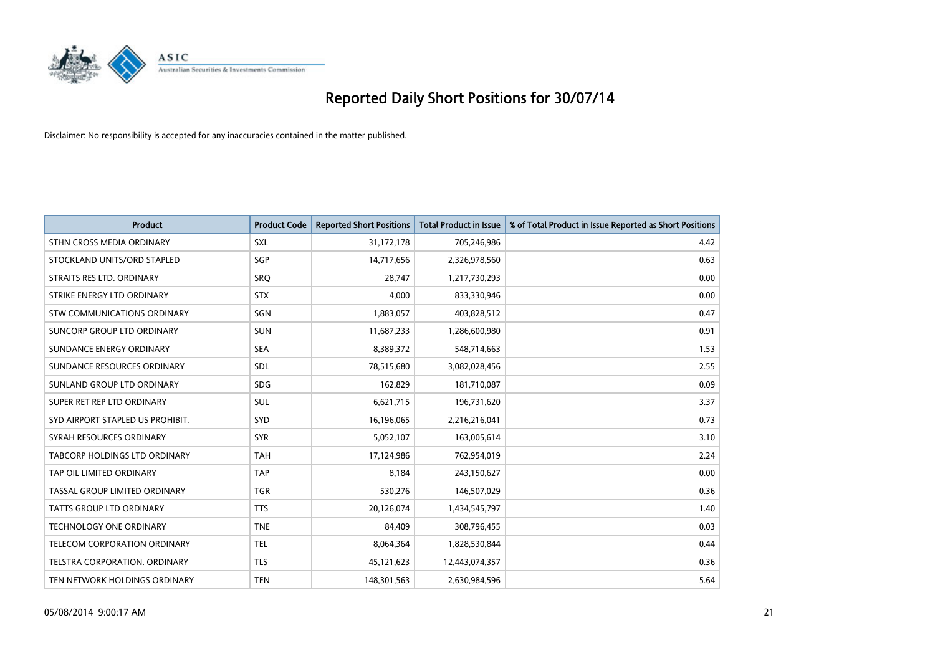

| <b>Product</b>                       | <b>Product Code</b> | <b>Reported Short Positions</b> | <b>Total Product in Issue</b> | % of Total Product in Issue Reported as Short Positions |
|--------------------------------------|---------------------|---------------------------------|-------------------------------|---------------------------------------------------------|
| STHN CROSS MEDIA ORDINARY            | <b>SXL</b>          | 31,172,178                      | 705,246,986                   | 4.42                                                    |
| STOCKLAND UNITS/ORD STAPLED          | SGP                 | 14,717,656                      | 2,326,978,560                 | 0.63                                                    |
| STRAITS RES LTD. ORDINARY            | SRO                 | 28,747                          | 1,217,730,293                 | 0.00                                                    |
| STRIKE ENERGY LTD ORDINARY           | <b>STX</b>          | 4,000                           | 833,330,946                   | 0.00                                                    |
| STW COMMUNICATIONS ORDINARY          | SGN                 | 1,883,057                       | 403,828,512                   | 0.47                                                    |
| SUNCORP GROUP LTD ORDINARY           | <b>SUN</b>          | 11,687,233                      | 1,286,600,980                 | 0.91                                                    |
| SUNDANCE ENERGY ORDINARY             | <b>SEA</b>          | 8,389,372                       | 548,714,663                   | 1.53                                                    |
| SUNDANCE RESOURCES ORDINARY          | <b>SDL</b>          | 78,515,680                      | 3,082,028,456                 | 2.55                                                    |
| SUNLAND GROUP LTD ORDINARY           | <b>SDG</b>          | 162,829                         | 181,710,087                   | 0.09                                                    |
| SUPER RET REP LTD ORDINARY           | <b>SUL</b>          | 6,621,715                       | 196,731,620                   | 3.37                                                    |
| SYD AIRPORT STAPLED US PROHIBIT.     | <b>SYD</b>          | 16,196,065                      | 2,216,216,041                 | 0.73                                                    |
| SYRAH RESOURCES ORDINARY             | <b>SYR</b>          | 5,052,107                       | 163,005,614                   | 3.10                                                    |
| <b>TABCORP HOLDINGS LTD ORDINARY</b> | <b>TAH</b>          | 17,124,986                      | 762,954,019                   | 2.24                                                    |
| TAP OIL LIMITED ORDINARY             | <b>TAP</b>          | 8,184                           | 243,150,627                   | 0.00                                                    |
| TASSAL GROUP LIMITED ORDINARY        | <b>TGR</b>          | 530,276                         | 146,507,029                   | 0.36                                                    |
| <b>TATTS GROUP LTD ORDINARY</b>      | <b>TTS</b>          | 20,126,074                      | 1,434,545,797                 | 1.40                                                    |
| <b>TECHNOLOGY ONE ORDINARY</b>       | <b>TNE</b>          | 84,409                          | 308,796,455                   | 0.03                                                    |
| TELECOM CORPORATION ORDINARY         | <b>TEL</b>          | 8,064,364                       | 1,828,530,844                 | 0.44                                                    |
| TELSTRA CORPORATION, ORDINARY        | <b>TLS</b>          | 45,121,623                      | 12,443,074,357                | 0.36                                                    |
| TEN NETWORK HOLDINGS ORDINARY        | <b>TEN</b>          | 148,301,563                     | 2,630,984,596                 | 5.64                                                    |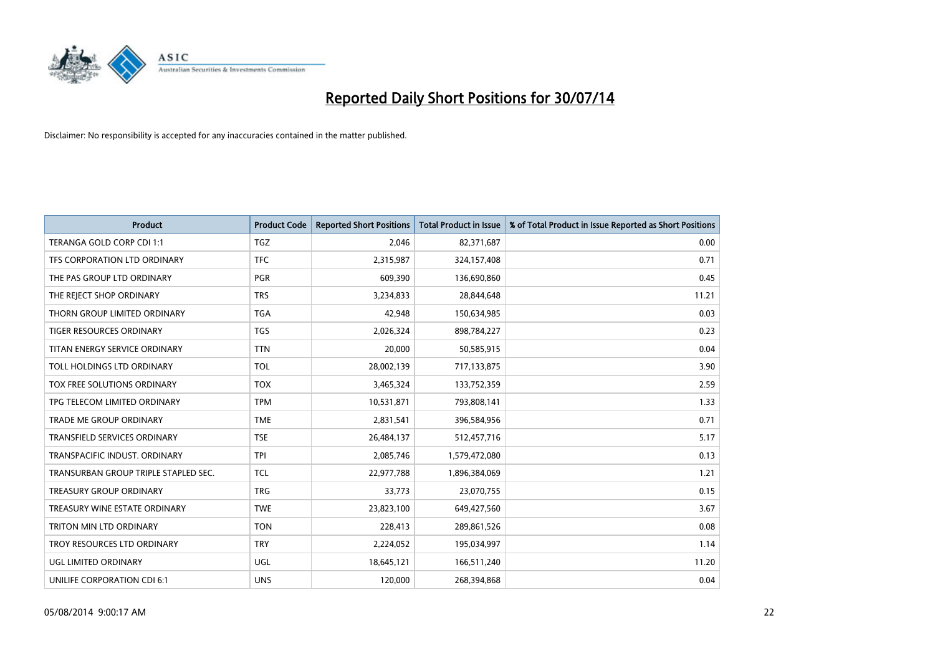

| <b>Product</b>                       | <b>Product Code</b> | <b>Reported Short Positions</b> | <b>Total Product in Issue</b> | % of Total Product in Issue Reported as Short Positions |
|--------------------------------------|---------------------|---------------------------------|-------------------------------|---------------------------------------------------------|
| TERANGA GOLD CORP CDI 1:1            | <b>TGZ</b>          | 2,046                           | 82,371,687                    | 0.00                                                    |
| TFS CORPORATION LTD ORDINARY         | <b>TFC</b>          | 2,315,987                       | 324,157,408                   | 0.71                                                    |
| THE PAS GROUP LTD ORDINARY           | <b>PGR</b>          | 609,390                         | 136,690,860                   | 0.45                                                    |
| THE REJECT SHOP ORDINARY             | <b>TRS</b>          | 3,234,833                       | 28,844,648                    | 11.21                                                   |
| THORN GROUP LIMITED ORDINARY         | <b>TGA</b>          | 42,948                          | 150,634,985                   | 0.03                                                    |
| TIGER RESOURCES ORDINARY             | <b>TGS</b>          | 2,026,324                       | 898,784,227                   | 0.23                                                    |
| TITAN ENERGY SERVICE ORDINARY        | <b>TTN</b>          | 20,000                          | 50,585,915                    | 0.04                                                    |
| TOLL HOLDINGS LTD ORDINARY           | <b>TOL</b>          | 28,002,139                      | 717,133,875                   | 3.90                                                    |
| <b>TOX FREE SOLUTIONS ORDINARY</b>   | <b>TOX</b>          | 3,465,324                       | 133,752,359                   | 2.59                                                    |
| TPG TELECOM LIMITED ORDINARY         | <b>TPM</b>          | 10,531,871                      | 793,808,141                   | 1.33                                                    |
| TRADE ME GROUP ORDINARY              | <b>TME</b>          | 2,831,541                       | 396,584,956                   | 0.71                                                    |
| <b>TRANSFIELD SERVICES ORDINARY</b>  | <b>TSE</b>          | 26,484,137                      | 512,457,716                   | 5.17                                                    |
| TRANSPACIFIC INDUST, ORDINARY        | <b>TPI</b>          | 2,085,746                       | 1,579,472,080                 | 0.13                                                    |
| TRANSURBAN GROUP TRIPLE STAPLED SEC. | <b>TCL</b>          | 22,977,788                      | 1,896,384,069                 | 1.21                                                    |
| <b>TREASURY GROUP ORDINARY</b>       | <b>TRG</b>          | 33,773                          | 23,070,755                    | 0.15                                                    |
| TREASURY WINE ESTATE ORDINARY        | <b>TWE</b>          | 23,823,100                      | 649,427,560                   | 3.67                                                    |
| TRITON MIN LTD ORDINARY              | <b>TON</b>          | 228,413                         | 289,861,526                   | 0.08                                                    |
| TROY RESOURCES LTD ORDINARY          | <b>TRY</b>          | 2,224,052                       | 195,034,997                   | 1.14                                                    |
| UGL LIMITED ORDINARY                 | UGL                 | 18,645,121                      | 166,511,240                   | 11.20                                                   |
| UNILIFE CORPORATION CDI 6:1          | <b>UNS</b>          | 120,000                         | 268,394,868                   | 0.04                                                    |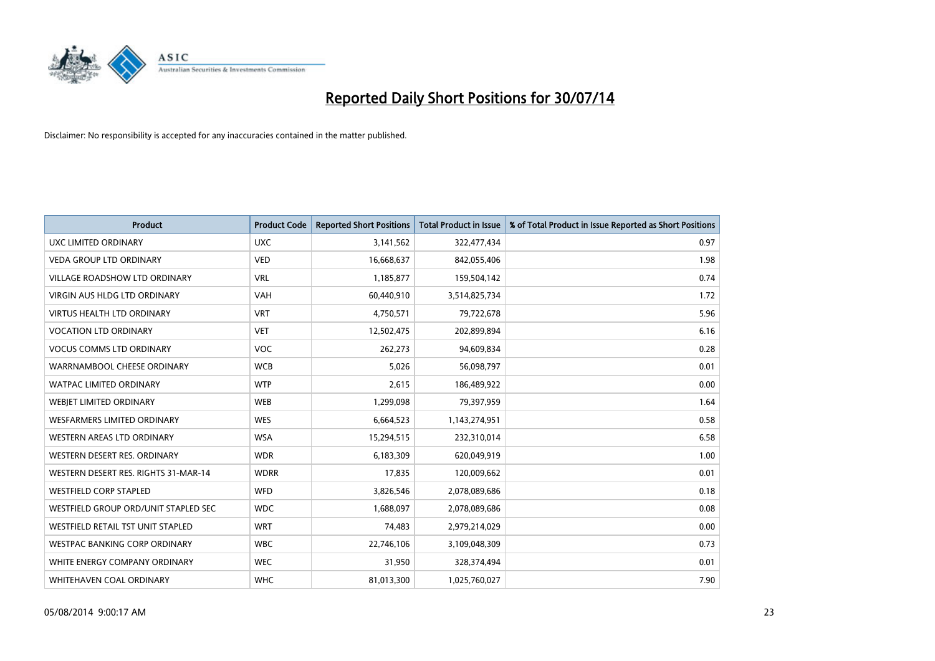

| <b>Product</b>                           | <b>Product Code</b> | <b>Reported Short Positions</b> | <b>Total Product in Issue</b> | % of Total Product in Issue Reported as Short Positions |
|------------------------------------------|---------------------|---------------------------------|-------------------------------|---------------------------------------------------------|
| <b>UXC LIMITED ORDINARY</b>              | <b>UXC</b>          | 3,141,562                       | 322,477,434                   | 0.97                                                    |
| <b>VEDA GROUP LTD ORDINARY</b>           | <b>VED</b>          | 16,668,637                      | 842,055,406                   | 1.98                                                    |
| <b>VILLAGE ROADSHOW LTD ORDINARY</b>     | <b>VRL</b>          | 1,185,877                       | 159,504,142                   | 0.74                                                    |
| <b>VIRGIN AUS HLDG LTD ORDINARY</b>      | <b>VAH</b>          | 60,440,910                      | 3,514,825,734                 | 1.72                                                    |
| <b>VIRTUS HEALTH LTD ORDINARY</b>        | <b>VRT</b>          | 4,750,571                       | 79,722,678                    | 5.96                                                    |
| <b>VOCATION LTD ORDINARY</b>             | <b>VET</b>          | 12,502,475                      | 202,899,894                   | 6.16                                                    |
| <b>VOCUS COMMS LTD ORDINARY</b>          | <b>VOC</b>          | 262,273                         | 94,609,834                    | 0.28                                                    |
| WARRNAMBOOL CHEESE ORDINARY              | <b>WCB</b>          | 5,026                           | 56,098,797                    | 0.01                                                    |
| WATPAC LIMITED ORDINARY                  | <b>WTP</b>          | 2,615                           | 186,489,922                   | 0.00                                                    |
| WEBJET LIMITED ORDINARY                  | <b>WEB</b>          | 1,299,098                       | 79,397,959                    | 1.64                                                    |
| WESFARMERS LIMITED ORDINARY              | <b>WES</b>          | 6,664,523                       | 1,143,274,951                 | 0.58                                                    |
| <b>WESTERN AREAS LTD ORDINARY</b>        | <b>WSA</b>          | 15,294,515                      | 232,310,014                   | 6.58                                                    |
| WESTERN DESERT RES. ORDINARY             | <b>WDR</b>          | 6,183,309                       | 620,049,919                   | 1.00                                                    |
| WESTERN DESERT RES. RIGHTS 31-MAR-14     | <b>WDRR</b>         | 17,835                          | 120,009,662                   | 0.01                                                    |
| <b>WESTFIELD CORP STAPLED</b>            | <b>WFD</b>          | 3,826,546                       | 2,078,089,686                 | 0.18                                                    |
| WESTFIELD GROUP ORD/UNIT STAPLED SEC     | <b>WDC</b>          | 1,688,097                       | 2,078,089,686                 | 0.08                                                    |
| <b>WESTFIELD RETAIL TST UNIT STAPLED</b> | <b>WRT</b>          | 74,483                          | 2,979,214,029                 | 0.00                                                    |
| <b>WESTPAC BANKING CORP ORDINARY</b>     | <b>WBC</b>          | 22,746,106                      | 3,109,048,309                 | 0.73                                                    |
| WHITE ENERGY COMPANY ORDINARY            | <b>WEC</b>          | 31,950                          | 328,374,494                   | 0.01                                                    |
| WHITEHAVEN COAL ORDINARY                 | <b>WHC</b>          | 81,013,300                      | 1,025,760,027                 | 7.90                                                    |